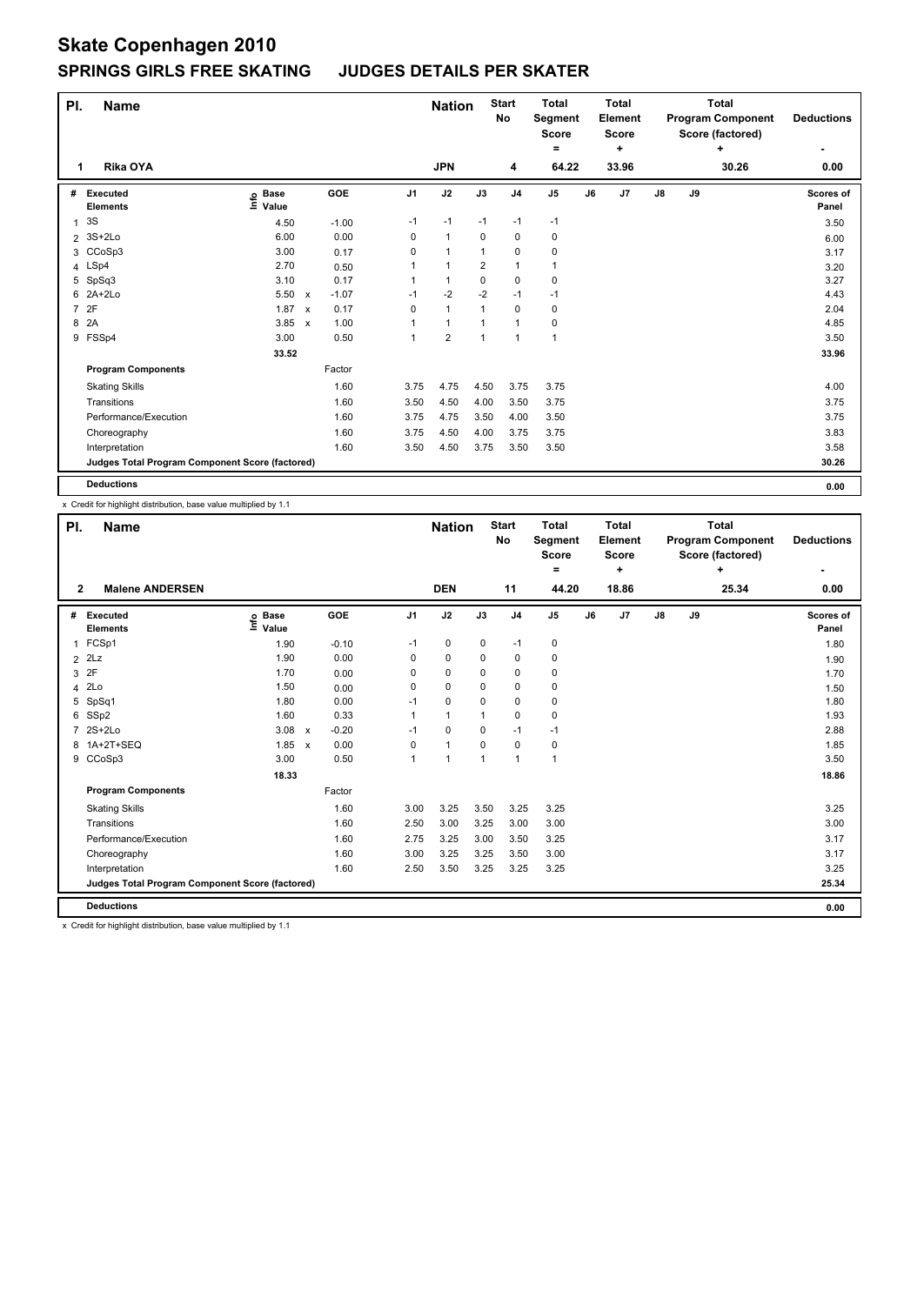| PI.            | <b>Name</b>                                     |                                  |              |         |                | <b>Nation</b>  |                | <b>Start</b><br>No | <b>Total</b><br>Segment<br><b>Score</b><br>= |    | <b>Total</b><br>Element<br><b>Score</b><br>٠ | <b>Total</b><br><b>Program Component</b><br>Score (factored)<br>÷<br>30.26 |    |  | <b>Deductions</b>  |
|----------------|-------------------------------------------------|----------------------------------|--------------|---------|----------------|----------------|----------------|--------------------|----------------------------------------------|----|----------------------------------------------|----------------------------------------------------------------------------|----|--|--------------------|
| 1              | Rika OYA                                        |                                  |              |         |                | <b>JPN</b>     |                | 4                  | 64.22                                        |    | 33.96                                        |                                                                            |    |  | 0.00               |
| #              | Executed<br><b>Elements</b>                     | <b>Base</b><br>e Base<br>⊆ Value |              | GOE     | J <sub>1</sub> | J2             | J3             | J <sub>4</sub>     | J <sub>5</sub>                               | J6 | J7                                           | J8                                                                         | J9 |  | Scores of<br>Panel |
| $\mathbf{1}$   | 3S                                              | 4.50                             |              | $-1.00$ | $-1$           | $-1$           | $-1$           | $-1$               | $-1$                                         |    |                                              |                                                                            |    |  | 3.50               |
| $\overline{2}$ | 3S+2Lo                                          | 6.00                             |              | 0.00    | 0              | $\mathbf{1}$   | 0              | 0                  | 0                                            |    |                                              |                                                                            |    |  | 6.00               |
|                | 3 CCoSp3                                        | 3.00                             |              | 0.17    | 0              | 1              | 1              | 0                  | 0                                            |    |                                              |                                                                            |    |  | 3.17               |
|                | 4 LSp4                                          | 2.70                             |              | 0.50    | 1              | $\mathbf{1}$   | $\overline{2}$ | $\mathbf{1}$       | 1                                            |    |                                              |                                                                            |    |  | 3.20               |
|                | 5 SpSq3                                         | 3.10                             |              | 0.17    | 1              | $\mathbf{1}$   | 0              | 0                  | 0                                            |    |                                              |                                                                            |    |  | 3.27               |
|                | 6 2A+2Lo                                        | 5.50                             | $\mathsf{x}$ | $-1.07$ | $-1$           | $-2$           | $-2$           | -1                 | $-1$                                         |    |                                              |                                                                            |    |  | 4.43               |
| $\overline{7}$ | 2F                                              | 1.87                             | $\mathsf{x}$ | 0.17    | 0              | $\mathbf{1}$   | 1              | $\mathbf 0$        | 0                                            |    |                                              |                                                                            |    |  | 2.04               |
| 8              | 2A                                              | 3.85                             | $\mathbf{x}$ | 1.00    | 1              | $\mathbf{1}$   | 1              | 1                  | 0                                            |    |                                              |                                                                            |    |  | 4.85               |
|                | 9 FSSp4                                         | 3.00                             |              | 0.50    | 1              | $\overline{2}$ | 1              | $\mathbf{1}$       | 1                                            |    |                                              |                                                                            |    |  | 3.50               |
|                |                                                 | 33.52                            |              |         |                |                |                |                    |                                              |    |                                              |                                                                            |    |  | 33.96              |
|                | <b>Program Components</b>                       |                                  |              | Factor  |                |                |                |                    |                                              |    |                                              |                                                                            |    |  |                    |
|                | <b>Skating Skills</b>                           |                                  |              | 1.60    | 3.75           | 4.75           | 4.50           | 3.75               | 3.75                                         |    |                                              |                                                                            |    |  | 4.00               |
|                | Transitions                                     |                                  |              | 1.60    | 3.50           | 4.50           | 4.00           | 3.50               | 3.75                                         |    |                                              |                                                                            |    |  | 3.75               |
|                | Performance/Execution                           |                                  |              | 1.60    | 3.75           | 4.75           | 3.50           | 4.00               | 3.50                                         |    |                                              |                                                                            |    |  | 3.75               |
|                | Choreography                                    |                                  |              | 1.60    | 3.75           | 4.50           | 4.00           | 3.75               | 3.75                                         |    |                                              |                                                                            |    |  | 3.83               |
|                | Interpretation                                  |                                  |              | 1.60    | 3.50           | 4.50           | 3.75           | 3.50               | 3.50                                         |    |                                              |                                                                            |    |  | 3.58               |
|                | Judges Total Program Component Score (factored) |                                  |              |         |                |                |                |                    |                                              |    |                                              |                                                                            |    |  | 30.26              |
|                | <b>Deductions</b>                               |                                  |              |         |                |                |                |                    |                                              |    |                                              |                                                                            |    |  | 0.00               |

x Credit for highlight distribution, base value multiplied by 1.1

| PI. | <b>Name</b><br><b>Malene ANDERSEN</b><br>$\overline{2}$ |                            |                           |                 | <b>Nation</b> |              | <b>Start</b><br><b>No</b> | <b>Total</b><br>Segment<br><b>Score</b><br>۰ |    | <b>Total</b><br>Element<br><b>Score</b><br>÷ |               |    | <b>Total</b><br><b>Program Component</b><br>Score (factored)<br>4 | <b>Deductions</b>  |
|-----|---------------------------------------------------------|----------------------------|---------------------------|-----------------|---------------|--------------|---------------------------|----------------------------------------------|----|----------------------------------------------|---------------|----|-------------------------------------------------------------------|--------------------|
|     |                                                         |                            |                           |                 | <b>DEN</b>    |              | 11                        | 44.20                                        |    | 18.86                                        |               |    | 25.34                                                             | 0.00               |
| #   | <b>Executed</b><br><b>Elements</b>                      | e Base<br>≡ Value<br>Value | <b>GOE</b>                | J <sub>1</sub>  | J2            | J3           | J <sub>4</sub>            | J <sub>5</sub>                               | J6 | J <sub>7</sub>                               | $\mathsf{J}8$ | J9 |                                                                   | Scores of<br>Panel |
| 1   | FCSp1                                                   | 1.90                       |                           | $-0.10$<br>$-1$ | 0             | 0            | $-1$                      | 0                                            |    |                                              |               |    |                                                                   | 1.80               |
|     | $2$ $2Lz$                                               | 1.90                       |                           | 0.00<br>0       | 0             | 0            | 0                         | 0                                            |    |                                              |               |    |                                                                   | 1.90               |
| 3   | 2F                                                      | 1.70                       |                           | 0<br>0.00       | $\mathbf 0$   | $\Omega$     | $\mathbf 0$               | 0                                            |    |                                              |               |    |                                                                   | 1.70               |
| 4   | 2Lo                                                     | 1.50                       |                           | 0<br>0.00       | 0             | 0            | 0                         | 0                                            |    |                                              |               |    |                                                                   | 1.50               |
| 5   | SpSq1                                                   | 1.80                       |                           | 0.00<br>$-1$    | 0             | 0            | $\mathbf 0$               | 0                                            |    |                                              |               |    |                                                                   | 1.80               |
| 6   | SSp2                                                    | 1.60                       |                           | 0.33<br>1       | $\mathbf{1}$  | 1            | 0                         | 0                                            |    |                                              |               |    |                                                                   | 1.93               |
|     | $2S+2Lo$                                                | 3.08                       | $\boldsymbol{\mathsf{x}}$ | $-0.20$<br>$-1$ | $\mathbf 0$   | 0            | $-1$                      | $-1$                                         |    |                                              |               |    |                                                                   | 2.88               |
|     | 8 1A+2T+SEQ                                             | 1.85                       | $\mathsf{x}$              | 0.00<br>0       | $\mathbf{1}$  | $\mathbf 0$  | $\mathbf 0$               | 0                                            |    |                                              |               |    |                                                                   | 1.85               |
| 9   | CCoSp3                                                  | 3.00                       |                           | 0.50<br>1       | 1             | $\mathbf{1}$ | 1                         | 1                                            |    |                                              |               |    |                                                                   | 3.50               |
|     |                                                         | 18.33                      |                           |                 |               |              |                           |                                              |    |                                              |               |    |                                                                   | 18.86              |
|     | <b>Program Components</b>                               |                            | Factor                    |                 |               |              |                           |                                              |    |                                              |               |    |                                                                   |                    |
|     | <b>Skating Skills</b>                                   |                            |                           | 1.60<br>3.00    | 3.25          | 3.50         | 3.25                      | 3.25                                         |    |                                              |               |    |                                                                   | 3.25               |
|     | Transitions                                             |                            |                           | 1.60<br>2.50    | 3.00          | 3.25         | 3.00                      | 3.00                                         |    |                                              |               |    |                                                                   | 3.00               |
|     | Performance/Execution                                   |                            |                           | 1.60<br>2.75    | 3.25          | 3.00         | 3.50                      | 3.25                                         |    |                                              |               |    |                                                                   | 3.17               |
|     | Choreography                                            |                            |                           | 1.60<br>3.00    | 3.25          | 3.25         | 3.50                      | 3.00                                         |    |                                              |               |    |                                                                   | 3.17               |
|     | Interpretation                                          |                            |                           | 1.60<br>2.50    | 3.50          | 3.25         | 3.25                      | 3.25                                         |    |                                              |               |    |                                                                   | 3.25               |
|     | Judges Total Program Component Score (factored)         |                            |                           |                 |               |              |                           |                                              |    |                                              |               |    |                                                                   | 25.34              |
|     | <b>Deductions</b>                                       |                            |                           |                 |               |              |                           |                                              |    |                                              |               |    |                                                                   | 0.00               |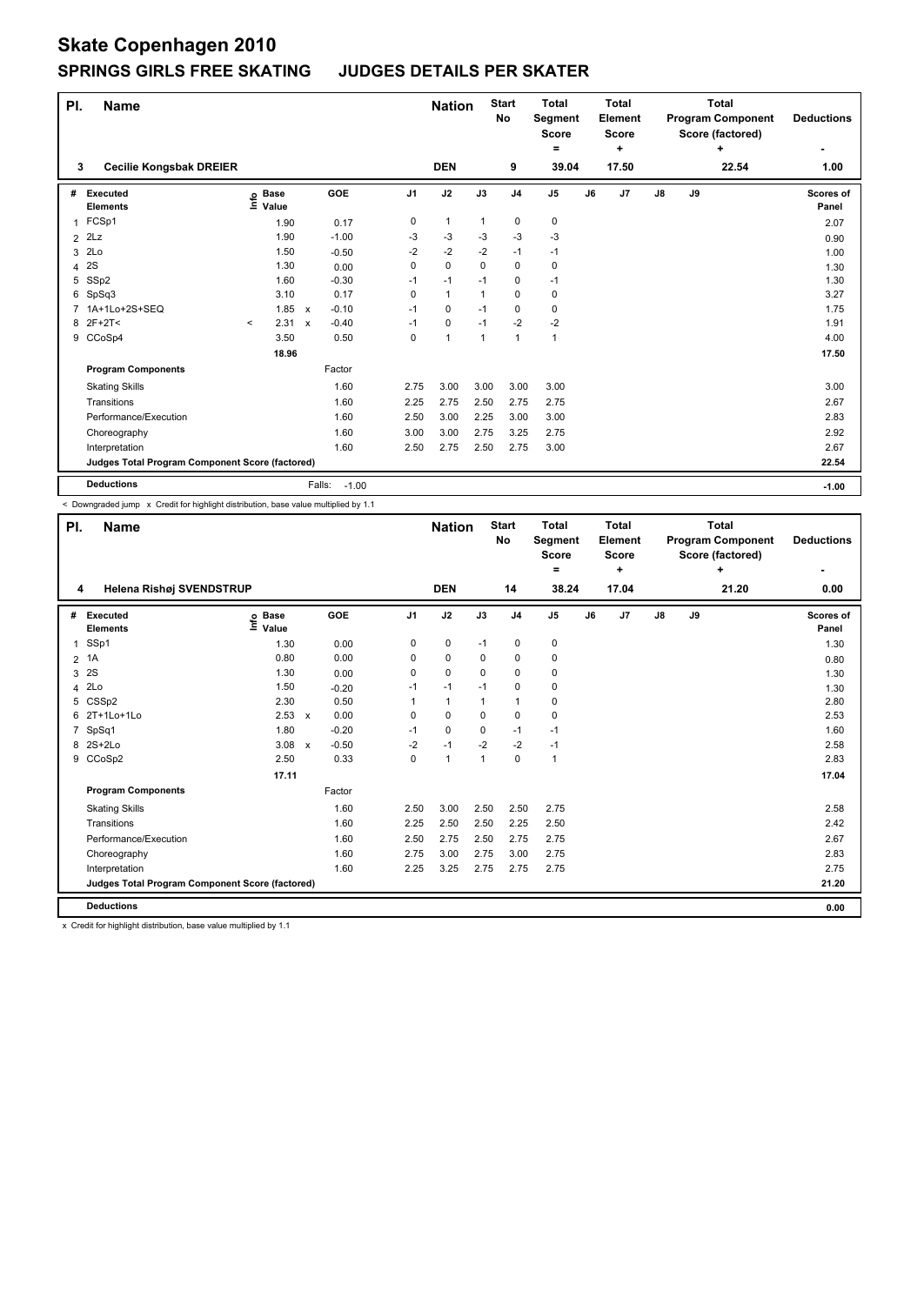| PI.            | <b>Name</b>                                     |         |                      |                           |                   |                | <b>Nation</b>  |                | <b>Start</b><br>No | <b>Total</b><br>Segment<br><b>Score</b> |    | <b>Total</b><br>Element<br><b>Score</b> |    |    | <b>Total</b><br><b>Program Component</b><br>Score (factored)<br>÷ | <b>Deductions</b>  |
|----------------|-------------------------------------------------|---------|----------------------|---------------------------|-------------------|----------------|----------------|----------------|--------------------|-----------------------------------------|----|-----------------------------------------|----|----|-------------------------------------------------------------------|--------------------|
| 3              | <b>Cecilie Kongsbak DREIER</b>                  |         |                      |                           |                   |                | <b>DEN</b>     |                | 9                  | ٠<br>39.04                              |    | ٠<br>17.50                              |    |    | 22.54                                                             | ٠<br>1.00          |
|                |                                                 |         |                      |                           |                   |                |                |                |                    |                                         |    |                                         |    |    |                                                                   |                    |
| #              | Executed<br><b>Elements</b>                     | ١nfo    | <b>Base</b><br>Value |                           | GOE               | J <sub>1</sub> | J2             | J3             | J <sub>4</sub>     | J <sub>5</sub>                          | J6 | J7                                      | J8 | J9 |                                                                   | Scores of<br>Panel |
| 1              | FCSp1                                           |         | 1.90                 |                           | 0.17              | 0              | $\overline{1}$ | $\mathbf{1}$   | $\pmb{0}$          | 0                                       |    |                                         |    |    |                                                                   | 2.07               |
| $\overline{2}$ | 2Lz                                             |         | 1.90                 |                           | $-1.00$           | -3             | -3             | -3             | $-3$               | $-3$                                    |    |                                         |    |    |                                                                   | 0.90               |
| 3              | 2Lo                                             |         | 1.50                 |                           | $-0.50$           | $-2$           | $-2$           | $-2$           | $-1$               | $-1$                                    |    |                                         |    |    |                                                                   | 1.00               |
| 4              | 2S                                              |         | 1.30                 |                           | 0.00              | 0              | $\mathbf 0$    | $\Omega$       | $\mathbf 0$        | 0                                       |    |                                         |    |    |                                                                   | 1.30               |
| 5              | SSp2                                            |         | 1.60                 |                           | $-0.30$           | $-1$           | $-1$           | $-1$           | $\pmb{0}$          | $-1$                                    |    |                                         |    |    |                                                                   | 1.30               |
| 6              | SpSq3                                           |         | 3.10                 |                           | 0.17              | 0              | $\mathbf{1}$   | $\mathbf{1}$   | $\mathbf 0$        | 0                                       |    |                                         |    |    |                                                                   | 3.27               |
| $\overline{7}$ | 1A+1Lo+2S+SEQ                                   |         | 1.85                 | $\mathsf{x}$              | $-0.10$           | $-1$           | 0              | $-1$           | 0                  | 0                                       |    |                                         |    |    |                                                                   | 1.75               |
|                | 8 2F+2T<                                        | $\prec$ | 2.31                 | $\boldsymbol{\mathsf{x}}$ | $-0.40$           | $-1$           | 0              | $-1$           | $-2$               | $-2$                                    |    |                                         |    |    |                                                                   | 1.91               |
|                | 9 CCoSp4                                        |         | 3.50                 |                           | 0.50              | 0              | $\overline{1}$ | $\overline{1}$ | $\mathbf{1}$       | $\mathbf{1}$                            |    |                                         |    |    |                                                                   | 4.00               |
|                |                                                 |         | 18.96                |                           |                   |                |                |                |                    |                                         |    |                                         |    |    |                                                                   | 17.50              |
|                | <b>Program Components</b>                       |         |                      |                           | Factor            |                |                |                |                    |                                         |    |                                         |    |    |                                                                   |                    |
|                | <b>Skating Skills</b>                           |         |                      |                           | 1.60              | 2.75           | 3.00           | 3.00           | 3.00               | 3.00                                    |    |                                         |    |    |                                                                   | 3.00               |
|                | Transitions                                     |         |                      |                           | 1.60              | 2.25           | 2.75           | 2.50           | 2.75               | 2.75                                    |    |                                         |    |    |                                                                   | 2.67               |
|                | Performance/Execution                           |         |                      |                           | 1.60              | 2.50           | 3.00           | 2.25           | 3.00               | 3.00                                    |    |                                         |    |    |                                                                   | 2.83               |
|                | Choreography                                    |         |                      |                           | 1.60              | 3.00           | 3.00           | 2.75           | 3.25               | 2.75                                    |    |                                         |    |    |                                                                   | 2.92               |
|                | Interpretation                                  |         |                      |                           | 1.60              | 2.50           | 2.75           | 2.50           | 2.75               | 3.00                                    |    |                                         |    |    |                                                                   | 2.67               |
|                | Judges Total Program Component Score (factored) |         |                      |                           |                   |                |                |                |                    |                                         |    |                                         |    |    |                                                                   | 22.54              |
|                | <b>Deductions</b>                               |         |                      |                           | Falls:<br>$-1.00$ |                |                |                |                    |                                         |    |                                         |    |    |                                                                   | $-1.00$            |

< Downgraded jump x Credit for highlight distribution, base value multiplied by 1.1

| PI. | <b>Name</b>                                     |                              | <b>Nation</b>           |                | <b>Start</b><br>No | <b>Total</b><br><b>Segment</b><br><b>Score</b><br>$=$ |                | <b>Total</b><br>Element<br><b>Score</b><br>÷ |    |       | <b>Total</b><br><b>Program Component</b><br>Score (factored)<br>٠ | <b>Deductions</b><br>٠ |       |                    |
|-----|-------------------------------------------------|------------------------------|-------------------------|----------------|--------------------|-------------------------------------------------------|----------------|----------------------------------------------|----|-------|-------------------------------------------------------------------|------------------------|-------|--------------------|
| 4   | Helena Rishøj SVENDSTRUP                        |                              |                         |                | <b>DEN</b>         |                                                       | 14             | 38.24                                        |    | 17.04 |                                                                   |                        | 21.20 | 0.00               |
| #   | <b>Executed</b><br><b>Elements</b>              | <b>Base</b><br>١nfo<br>Value | GOE                     | J <sub>1</sub> | J2                 | J3                                                    | J <sub>4</sub> | J <sub>5</sub>                               | J6 | J7    | J8                                                                | J9                     |       | Scores of<br>Panel |
| 1   | SSp1                                            | 1.30                         | 0.00                    | 0              | $\mathbf 0$        | $-1$                                                  | 0              | 0                                            |    |       |                                                                   |                        |       | 1.30               |
|     | 2 1A                                            | 0.80                         | 0.00                    | $\Omega$       | $\mathbf 0$        | 0                                                     | 0              | 0                                            |    |       |                                                                   |                        |       | 0.80               |
| 3   | 2S                                              | 1.30                         | 0.00                    | $\Omega$       | 0                  | $\Omega$                                              | $\Omega$       | 0                                            |    |       |                                                                   |                        |       | 1.30               |
| 4   | 2Lo                                             | 1.50                         | $-0.20$                 | $-1$           | $-1$               | $-1$                                                  | 0              | 0                                            |    |       |                                                                   |                        |       | 1.30               |
| 5   | CSSp2                                           | 2.30                         | 0.50                    |                | $\mathbf{1}$       | 1                                                     | $\mathbf{1}$   | 0                                            |    |       |                                                                   |                        |       | 2.80               |
| 6   | 2T+1Lo+1Lo                                      | 2.53                         | 0.00<br>$\mathsf{x}$    | $\Omega$       | 0                  | $\Omega$                                              | 0              | 0                                            |    |       |                                                                   |                        |       | 2.53               |
| 7   | SpSq1                                           | 1.80                         | $-0.20$                 | $-1$           | $\mathbf 0$        | $\mathbf 0$                                           | $-1$           | $-1$                                         |    |       |                                                                   |                        |       | 1.60               |
| 8   | $2S+2Lo$                                        | 3.08                         | $-0.50$<br>$\mathsf{x}$ | $-2$           | $-1$               | $-2$                                                  | $-2$           | $-1$                                         |    |       |                                                                   |                        |       | 2.58               |
| 9   | CCoSp2                                          | 2.50                         | 0.33                    | $\Omega$       | $\mathbf{1}$       | $\mathbf 1$                                           | $\Omega$       | $\mathbf{1}$                                 |    |       |                                                                   |                        |       | 2.83               |
|     |                                                 | 17.11                        |                         |                |                    |                                                       |                |                                              |    |       |                                                                   |                        |       | 17.04              |
|     | <b>Program Components</b>                       |                              | Factor                  |                |                    |                                                       |                |                                              |    |       |                                                                   |                        |       |                    |
|     | <b>Skating Skills</b>                           |                              | 1.60                    | 2.50           | 3.00               | 2.50                                                  | 2.50           | 2.75                                         |    |       |                                                                   |                        |       | 2.58               |
|     | Transitions                                     |                              | 1.60                    | 2.25           | 2.50               | 2.50                                                  | 2.25           | 2.50                                         |    |       |                                                                   |                        |       | 2.42               |
|     | Performance/Execution                           |                              | 1.60                    | 2.50           | 2.75               | 2.50                                                  | 2.75           | 2.75                                         |    |       |                                                                   |                        |       | 2.67               |
|     | Choreography                                    |                              | 1.60                    | 2.75           | 3.00               | 2.75                                                  | 3.00           | 2.75                                         |    |       |                                                                   |                        |       | 2.83               |
|     | Interpretation                                  |                              | 1.60                    | 2.25           | 3.25               | 2.75                                                  | 2.75           | 2.75                                         |    |       |                                                                   |                        |       | 2.75               |
|     | Judges Total Program Component Score (factored) |                              |                         |                |                    |                                                       |                |                                              |    |       |                                                                   |                        |       | 21.20              |
|     | <b>Deductions</b>                               |                              |                         |                |                    |                                                       |                |                                              |    |       |                                                                   |                        |       | 0.00               |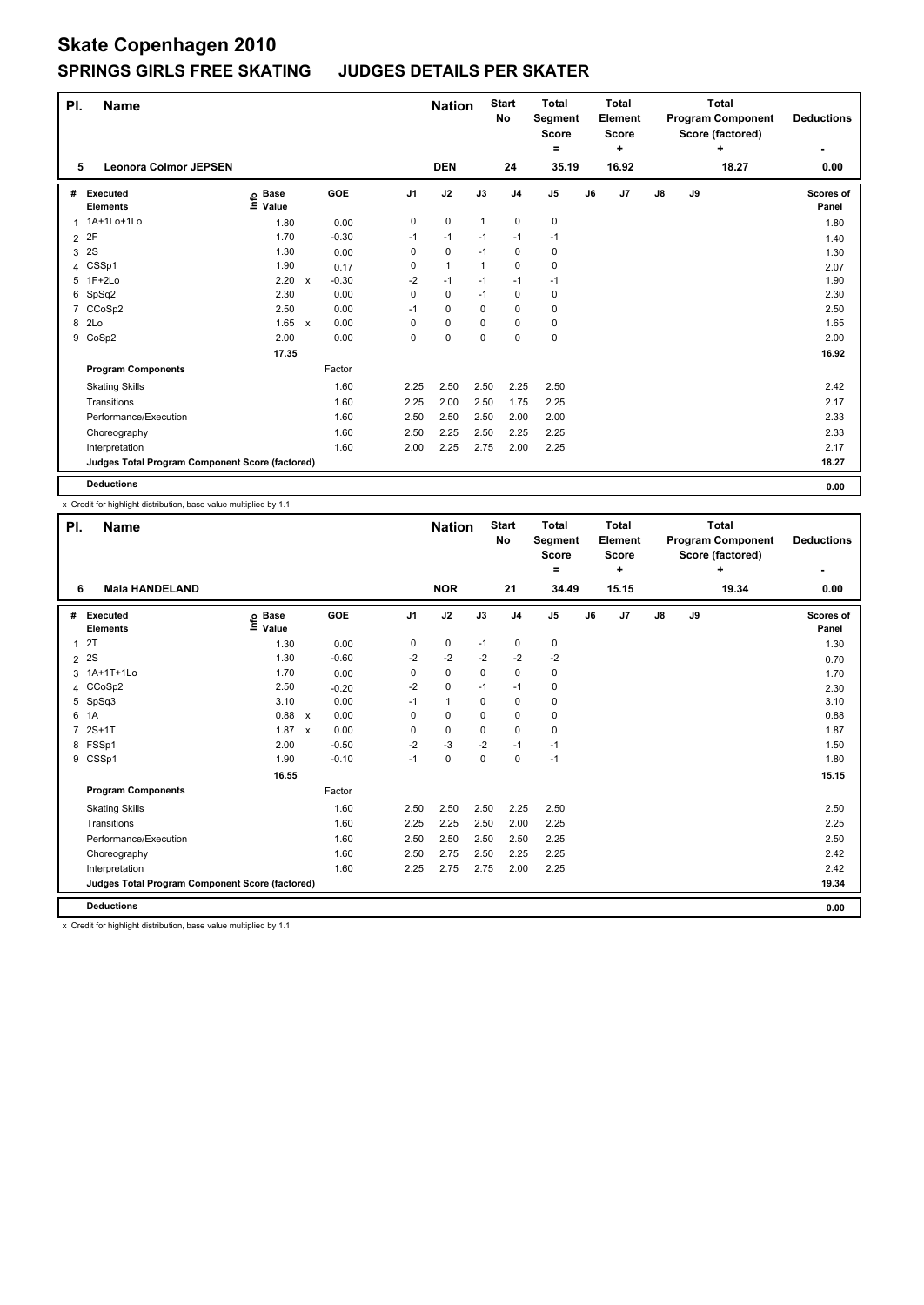| PI.            | <b>Name</b>                                     |                            |              |         |                | <b>Nation</b> |              | <b>Start</b><br>No | <b>Total</b><br>Segment<br><b>Score</b> |    | <b>Total</b><br>Element<br><b>Score</b> | <b>Total</b><br><b>Program Component</b><br>Score (factored)<br>÷ |    |       | <b>Deductions</b>  |
|----------------|-------------------------------------------------|----------------------------|--------------|---------|----------------|---------------|--------------|--------------------|-----------------------------------------|----|-----------------------------------------|-------------------------------------------------------------------|----|-------|--------------------|
| 5              | <b>Leonora Colmor JEPSEN</b>                    |                            |              |         |                | <b>DEN</b>    |              | 24                 | =<br>35.19                              |    | ٠<br>16.92                              |                                                                   |    | 18.27 | ٠<br>0.00          |
|                |                                                 |                            |              |         |                |               |              |                    |                                         |    |                                         |                                                                   |    |       |                    |
| #              | Executed<br><b>Elements</b>                     | <b>Base</b><br>۴٥<br>Value |              | GOE     | J <sub>1</sub> | J2            | J3           | J <sub>4</sub>     | J <sub>5</sub>                          | J6 | J7                                      | $\mathsf{J}8$                                                     | J9 |       | Scores of<br>Panel |
| 1              | 1A+1Lo+1Lo                                      | 1.80                       |              | 0.00    | 0              | $\mathbf 0$   | $\mathbf{1}$ | $\mathbf 0$        | 0                                       |    |                                         |                                                                   |    |       | 1.80               |
| 2              | 2F                                              | 1.70                       |              | $-0.30$ | $-1$           | $-1$          | $-1$         | $-1$               | $-1$                                    |    |                                         |                                                                   |    |       | 1.40               |
| 3              | 2S                                              | 1.30                       |              | 0.00    | 0              | 0             | $-1$         | 0                  | 0                                       |    |                                         |                                                                   |    |       | 1.30               |
| 4              | CSSp1                                           | 1.90                       |              | 0.17    | 0              | $\mathbf{1}$  | 1            | 0                  | $\mathbf 0$                             |    |                                         |                                                                   |    |       | 2.07               |
| 5              | 1F+2Lo                                          | 2.20                       | $\mathsf{x}$ | $-0.30$ | $-2$           | $-1$          | $-1$         | $-1$               | $-1$                                    |    |                                         |                                                                   |    |       | 1.90               |
| 6              | SpSq2                                           | 2.30                       |              | 0.00    | 0              | 0             | $-1$         | 0                  | 0                                       |    |                                         |                                                                   |    |       | 2.30               |
| $\overline{7}$ | CCoSp2                                          | 2.50                       |              | 0.00    | $-1$           | 0             | 0            | 0                  | 0                                       |    |                                         |                                                                   |    |       | 2.50               |
| 8              | 2Lo                                             | 1.65                       | $\mathsf{x}$ | 0.00    | 0              | 0             | $\Omega$     | $\Omega$           | 0                                       |    |                                         |                                                                   |    |       | 1.65               |
|                | 9 CoSp2                                         | 2.00                       |              | 0.00    | 0              | 0             | $\mathbf 0$  | 0                  | $\mathbf 0$                             |    |                                         |                                                                   |    |       | 2.00               |
|                |                                                 | 17.35                      |              |         |                |               |              |                    |                                         |    |                                         |                                                                   |    |       | 16.92              |
|                | <b>Program Components</b>                       |                            |              | Factor  |                |               |              |                    |                                         |    |                                         |                                                                   |    |       |                    |
|                | <b>Skating Skills</b>                           |                            |              | 1.60    | 2.25           | 2.50          | 2.50         | 2.25               | 2.50                                    |    |                                         |                                                                   |    |       | 2.42               |
|                | Transitions                                     |                            |              | 1.60    | 2.25           | 2.00          | 2.50         | 1.75               | 2.25                                    |    |                                         |                                                                   |    |       | 2.17               |
|                | Performance/Execution                           |                            |              | 1.60    | 2.50           | 2.50          | 2.50         | 2.00               | 2.00                                    |    |                                         |                                                                   |    |       | 2.33               |
|                | Choreography                                    |                            |              | 1.60    | 2.50           | 2.25          | 2.50         | 2.25               | 2.25                                    |    |                                         |                                                                   |    |       | 2.33               |
|                | Interpretation                                  |                            |              | 1.60    | 2.00           | 2.25          | 2.75         | 2.00               | 2.25                                    |    |                                         |                                                                   |    |       | 2.17               |
|                | Judges Total Program Component Score (factored) |                            |              |         |                |               |              |                    |                                         |    |                                         |                                                                   |    |       | 18.27              |
|                | <b>Deductions</b>                               |                            |              |         |                |               |              |                    |                                         |    |                                         |                                                                   |    |       | 0.00               |

x Credit for highlight distribution, base value multiplied by 1.1

| PI.            | <b>Name</b>                                     |                              |              |         |                | <b>Nation</b> |             | <b>Start</b><br><b>No</b> | <b>Total</b><br><b>Segment</b><br>Score<br>= |    | <b>Total</b><br>Element<br><b>Score</b><br>÷ |            |    | <b>Total</b><br><b>Program Component</b><br>Score (factored)<br>٠ | <b>Deductions</b>  |
|----------------|-------------------------------------------------|------------------------------|--------------|---------|----------------|---------------|-------------|---------------------------|----------------------------------------------|----|----------------------------------------------|------------|----|-------------------------------------------------------------------|--------------------|
| 6              | <b>Mala HANDELAND</b>                           |                              |              |         |                | <b>NOR</b>    |             | 21                        | 34.49                                        |    | 15.15                                        |            |    | 19.34                                                             | 0.00               |
| #              | Executed<br><b>Elements</b>                     | <b>Base</b><br>lnfo<br>Value |              | GOE     | J <sub>1</sub> | J2            | J3          | J <sub>4</sub>            | J5                                           | J6 | J7                                           | ${\sf J8}$ | J9 |                                                                   | Scores of<br>Panel |
| 1              | 2T                                              | 1.30                         |              | 0.00    | 0              | $\pmb{0}$     | $-1$        | 0                         | 0                                            |    |                                              |            |    |                                                                   | 1.30               |
| 2              | 2S                                              | 1.30                         |              | $-0.60$ | $-2$           | -2            | $-2$        | $-2$                      | $-2$                                         |    |                                              |            |    |                                                                   | 0.70               |
| 3              | 1A+1T+1Lo                                       | 1.70                         |              | 0.00    | 0              | $\mathbf 0$   | $\mathbf 0$ | $\mathbf 0$               | 0                                            |    |                                              |            |    |                                                                   | 1.70               |
| 4              | CCoSp2                                          | 2.50                         |              | $-0.20$ | $-2$           | $\mathbf 0$   | $-1$        | $-1$                      | 0                                            |    |                                              |            |    |                                                                   | 2.30               |
| 5              | SpSq3                                           | 3.10                         |              | 0.00    | $-1$           | $\mathbf{1}$  | 0           | 0                         | 0                                            |    |                                              |            |    |                                                                   | 3.10               |
| 6              | 1A                                              | 0.88                         | $\mathsf{x}$ | 0.00    | 0              | $\mathbf 0$   | $\Omega$    | $\mathbf 0$               | $\mathbf 0$                                  |    |                                              |            |    |                                                                   | 0.88               |
| $\overline{7}$ | $2S+1T$                                         | 1.87                         | $\mathsf{x}$ | 0.00    | 0              | 0             | $\Omega$    | 0                         | $\mathbf 0$                                  |    |                                              |            |    |                                                                   | 1.87               |
|                | 8 FSSp1                                         | 2.00                         |              | $-0.50$ | $-2$           | $-3$          | $-2$        | $-1$                      | $-1$                                         |    |                                              |            |    |                                                                   | 1.50               |
|                | 9 CSSp1                                         | 1.90                         |              | $-0.10$ | $-1$           | $\pmb{0}$     | 0           | $\pmb{0}$                 | $-1$                                         |    |                                              |            |    |                                                                   | 1.80               |
|                |                                                 | 16.55                        |              |         |                |               |             |                           |                                              |    |                                              |            |    |                                                                   | 15.15              |
|                | <b>Program Components</b>                       |                              |              | Factor  |                |               |             |                           |                                              |    |                                              |            |    |                                                                   |                    |
|                | <b>Skating Skills</b>                           |                              |              | 1.60    | 2.50           | 2.50          | 2.50        | 2.25                      | 2.50                                         |    |                                              |            |    |                                                                   | 2.50               |
|                | Transitions                                     |                              |              | 1.60    | 2.25           | 2.25          | 2.50        | 2.00                      | 2.25                                         |    |                                              |            |    |                                                                   | 2.25               |
|                | Performance/Execution                           |                              |              | 1.60    | 2.50           | 2.50          | 2.50        | 2.50                      | 2.25                                         |    |                                              |            |    |                                                                   | 2.50               |
|                | Choreography                                    |                              |              | 1.60    | 2.50           | 2.75          | 2.50        | 2.25                      | 2.25                                         |    |                                              |            |    |                                                                   | 2.42               |
|                | Interpretation                                  |                              |              | 1.60    | 2.25           | 2.75          | 2.75        | 2.00                      | 2.25                                         |    |                                              |            |    |                                                                   | 2.42               |
|                | Judges Total Program Component Score (factored) |                              |              |         |                |               |             |                           |                                              |    |                                              |            |    |                                                                   | 19.34              |
|                | <b>Deductions</b>                               |                              |              |         |                |               |             |                           |                                              |    |                                              |            |    |                                                                   | 0.00               |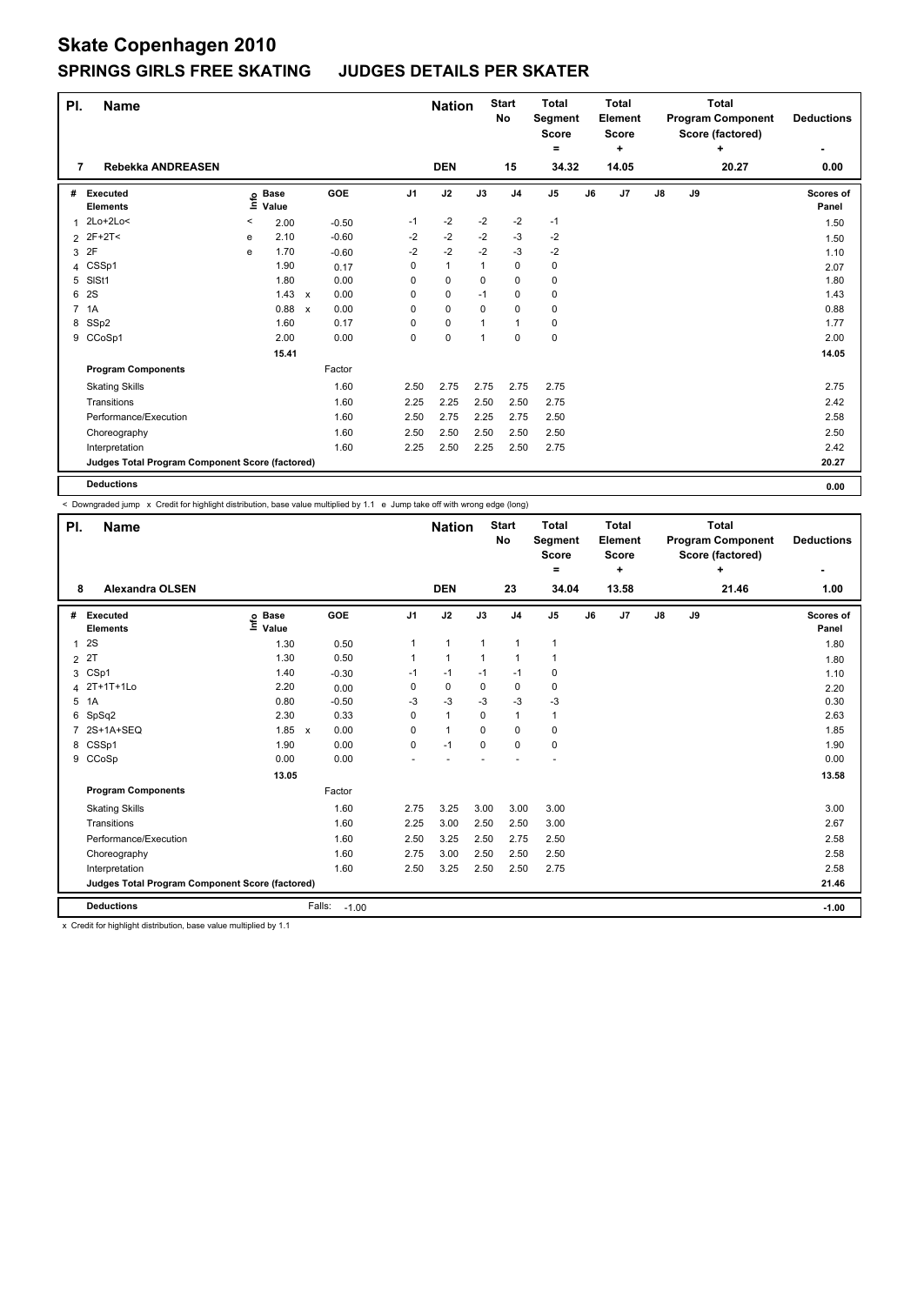| PI.            | <b>Name</b>                                     |   |                                  |              |         |                | <b>Nation</b> |      | <b>Start</b><br>No | <b>Total</b><br>Segment<br><b>Score</b><br>= |    | <b>Total</b><br>Element<br><b>Score</b><br>+ |    | <b>Program Component</b><br>Score (factored) | <b>Deductions</b> |                    |
|----------------|-------------------------------------------------|---|----------------------------------|--------------|---------|----------------|---------------|------|--------------------|----------------------------------------------|----|----------------------------------------------|----|----------------------------------------------|-------------------|--------------------|
| 7              | Rebekka ANDREASEN                               |   |                                  |              |         |                | <b>DEN</b>    |      | 15                 | 34.32                                        |    | 14.05                                        |    |                                              | 20.27             | 0.00               |
| #              | <b>Executed</b><br><b>Elements</b>              |   | <b>Base</b><br>e Base<br>⊆ Value |              | GOE     | J <sub>1</sub> | J2            | J3   | J <sub>4</sub>     | J <sub>5</sub>                               | J6 | J7                                           | J8 | J9                                           |                   | Scores of<br>Panel |
| 1              | 2Lo+2Lo<                                        | < | 2.00                             |              | $-0.50$ | $-1$           | $-2$          | $-2$ | $-2$               | $-1$                                         |    |                                              |    |                                              |                   | 1.50               |
| $\overline{2}$ | 2F+2T<                                          | e | 2.10                             |              | $-0.60$ | $-2$           | $-2$          | $-2$ | $-3$               | $-2$                                         |    |                                              |    |                                              |                   | 1.50               |
| 3              | 2F                                              | e | 1.70                             |              | $-0.60$ | $-2$           | $-2$          | $-2$ | $-3$               | $-2$                                         |    |                                              |    |                                              |                   | 1.10               |
|                | 4 CSSp1                                         |   | 1.90                             |              | 0.17    | 0              | $\mathbf{1}$  | 1    | $\mathbf 0$        | 0                                            |    |                                              |    |                                              |                   | 2.07               |
| 5              | SISt1                                           |   | 1.80                             |              | 0.00    | 0              | $\mathbf 0$   | 0    | 0                  | 0                                            |    |                                              |    |                                              |                   | 1.80               |
| 6              | 2S                                              |   | 1.43                             | $\mathsf{x}$ | 0.00    | 0              | $\mathbf 0$   | $-1$ | 0                  | $\pmb{0}$                                    |    |                                              |    |                                              |                   | 1.43               |
| $\overline{7}$ | 1A                                              |   | 0.88                             | $\mathsf{x}$ | 0.00    | 0              | $\mathbf 0$   | 0    | $\mathbf 0$        | $\pmb{0}$                                    |    |                                              |    |                                              |                   | 0.88               |
|                | 8 SSp2                                          |   | 1.60                             |              | 0.17    | 0              | 0             | 1    | $\mathbf 1$        | 0                                            |    |                                              |    |                                              |                   | 1.77               |
|                | 9 CCoSp1                                        |   | 2.00                             |              | 0.00    | 0              | $\pmb{0}$     | 1    | 0                  | $\pmb{0}$                                    |    |                                              |    |                                              |                   | 2.00               |
|                |                                                 |   | 15.41                            |              |         |                |               |      |                    |                                              |    |                                              |    |                                              |                   | 14.05              |
|                | <b>Program Components</b>                       |   |                                  |              | Factor  |                |               |      |                    |                                              |    |                                              |    |                                              |                   |                    |
|                | <b>Skating Skills</b>                           |   |                                  |              | 1.60    | 2.50           | 2.75          | 2.75 | 2.75               | 2.75                                         |    |                                              |    |                                              |                   | 2.75               |
|                | Transitions                                     |   |                                  |              | 1.60    | 2.25           | 2.25          | 2.50 | 2.50               | 2.75                                         |    |                                              |    |                                              |                   | 2.42               |
|                | Performance/Execution                           |   |                                  |              | 1.60    | 2.50           | 2.75          | 2.25 | 2.75               | 2.50                                         |    |                                              |    |                                              |                   | 2.58               |
|                | Choreography                                    |   |                                  |              | 1.60    | 2.50           | 2.50          | 2.50 | 2.50               | 2.50                                         |    |                                              |    |                                              |                   | 2.50               |
|                | Interpretation                                  |   |                                  |              | 1.60    | 2.25           | 2.50          | 2.25 | 2.50               | 2.75                                         |    |                                              |    |                                              |                   | 2.42               |
|                | Judges Total Program Component Score (factored) |   |                                  |              |         |                |               |      |                    |                                              |    |                                              |    |                                              |                   | 20.27              |
|                | <b>Deductions</b>                               |   |                                  |              |         |                |               |      |                    |                                              |    |                                              |    |                                              |                   | 0.00               |

< Downgraded jump x Credit for highlight distribution, base value multiplied by 1.1 e Jump take off with wrong edge (long)

| PI.<br>8       | Name<br><b>Alexandra OLSEN</b>                  |                              |                           |         |                | <b>Nation</b><br><b>DEN</b> |              | <b>Start</b><br>No<br>23 | <b>Total</b><br>Segment<br><b>Score</b><br>=<br>34.04 |    | <b>Total</b><br>Element<br><b>Score</b><br>÷<br>13.58 |               |    | <b>Total</b><br><b>Program Component</b><br>Score (factored)<br>÷<br>21.46 | <b>Deductions</b><br>1.00 |
|----------------|-------------------------------------------------|------------------------------|---------------------------|---------|----------------|-----------------------------|--------------|--------------------------|-------------------------------------------------------|----|-------------------------------------------------------|---------------|----|----------------------------------------------------------------------------|---------------------------|
| #              | Executed<br><b>Elements</b>                     | <b>Base</b><br>lnfo<br>Value |                           | GOE     | J <sub>1</sub> | J2                          | J3           | J <sub>4</sub>           | J <sub>5</sub>                                        | J6 | J <sub>7</sub>                                        | $\mathsf{J}8$ | J9 |                                                                            | Scores of<br>Panel        |
| 1              | 2S                                              | 1.30                         |                           | 0.50    | 1              | $\mathbf{1}$                | $\mathbf{1}$ | $\mathbf{1}$             | $\mathbf{1}$                                          |    |                                                       |               |    |                                                                            | 1.80                      |
| $\overline{2}$ | 2T                                              | 1.30                         |                           | 0.50    | 1              | $\mathbf{1}$                | 1            | $\mathbf 1$              | 1                                                     |    |                                                       |               |    |                                                                            | 1.80                      |
| 3              | CSp1                                            | 1.40                         |                           | $-0.30$ | $-1$           | $-1$                        | $-1$         | $-1$                     | 0                                                     |    |                                                       |               |    |                                                                            | 1.10                      |
| 4              | 2T+1T+1Lo                                       | 2.20                         |                           | 0.00    | 0              | 0                           | 0            | $\mathbf 0$              | 0                                                     |    |                                                       |               |    |                                                                            | 2.20                      |
| 5              | 1A                                              | 0.80                         |                           | $-0.50$ | -3             | $-3$                        | -3           | -3                       | $-3$                                                  |    |                                                       |               |    |                                                                            | 0.30                      |
| 6              | SpSq2                                           | 2.30                         |                           | 0.33    | $\Omega$       | $\mathbf{1}$                | 0            | $\mathbf{1}$             | $\mathbf{1}$                                          |    |                                                       |               |    |                                                                            | 2.63                      |
| 7              | 2S+1A+SEQ                                       | 1.85                         | $\boldsymbol{\mathsf{x}}$ | 0.00    | 0              | $\mathbf{1}$                | 0            | $\mathbf 0$              | $\mathbf 0$                                           |    |                                                       |               |    |                                                                            | 1.85                      |
| 8              | CSSp1                                           | 1.90                         |                           | 0.00    | 0              | $-1$                        | $\mathbf 0$  | $\mathbf 0$              | $\mathbf 0$                                           |    |                                                       |               |    |                                                                            | 1.90                      |
| 9              | CCoSp                                           | 0.00                         |                           | 0.00    |                |                             |              |                          |                                                       |    |                                                       |               |    |                                                                            | 0.00                      |
|                |                                                 | 13.05                        |                           |         |                |                             |              |                          |                                                       |    |                                                       |               |    |                                                                            | 13.58                     |
|                | <b>Program Components</b>                       |                              |                           | Factor  |                |                             |              |                          |                                                       |    |                                                       |               |    |                                                                            |                           |
|                | <b>Skating Skills</b>                           |                              |                           | 1.60    | 2.75           | 3.25                        | 3.00         | 3.00                     | 3.00                                                  |    |                                                       |               |    |                                                                            | 3.00                      |
|                | Transitions                                     |                              |                           | 1.60    | 2.25           | 3.00                        | 2.50         | 2.50                     | 3.00                                                  |    |                                                       |               |    |                                                                            | 2.67                      |
|                | Performance/Execution                           |                              |                           | 1.60    | 2.50           | 3.25                        | 2.50         | 2.75                     | 2.50                                                  |    |                                                       |               |    |                                                                            | 2.58                      |
|                | Choreography                                    |                              |                           | 1.60    | 2.75           | 3.00                        | 2.50         | 2.50                     | 2.50                                                  |    |                                                       |               |    |                                                                            | 2.58                      |
|                | Interpretation                                  |                              |                           | 1.60    | 2.50           | 3.25                        | 2.50         | 2.50                     | 2.75                                                  |    |                                                       |               |    |                                                                            | 2.58                      |
|                | Judges Total Program Component Score (factored) |                              |                           |         |                |                             |              |                          |                                                       |    |                                                       |               |    |                                                                            | 21.46                     |
|                | <b>Deductions</b>                               |                              | Falls:                    | $-1.00$ |                |                             |              |                          |                                                       |    |                                                       |               |    |                                                                            | $-1.00$                   |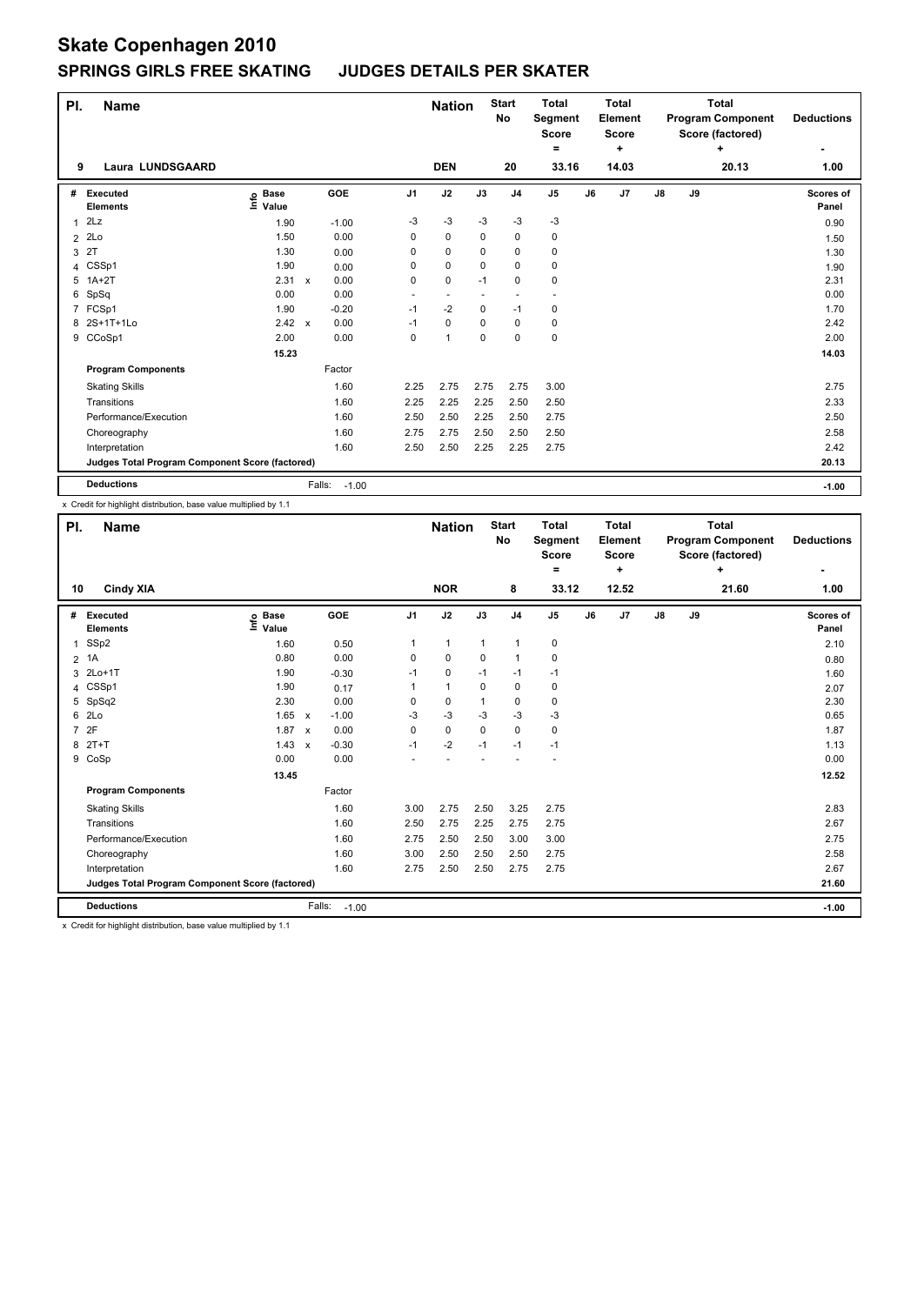| PI.            | <b>Name</b>                                     |                                  |              |                   |                          | <b>Nation</b>  |             | <b>Start</b><br>No | <b>Total</b><br>Segment<br><b>Score</b><br>$=$ |    | <b>Total</b><br>Element<br><b>Score</b><br>٠ | <b>Total</b><br><b>Program Component</b><br>Score (factored)<br>÷<br>20.13 |    |  | <b>Deductions</b><br>٠    |
|----------------|-------------------------------------------------|----------------------------------|--------------|-------------------|--------------------------|----------------|-------------|--------------------|------------------------------------------------|----|----------------------------------------------|----------------------------------------------------------------------------|----|--|---------------------------|
| 9              | Laura LUNDSGAARD                                |                                  |              |                   |                          | <b>DEN</b>     |             | 20                 | 33.16                                          |    | 14.03                                        |                                                                            |    |  | 1.00                      |
| #              | Executed<br><b>Elements</b>                     | <b>Base</b><br>e Base<br>⊆ Value |              | <b>GOE</b>        | J <sub>1</sub>           | J2             | J3          | J <sub>4</sub>     | J <sub>5</sub>                                 | J6 | J7                                           | J8                                                                         | J9 |  | <b>Scores of</b><br>Panel |
| 1              | 2Lz                                             | 1.90                             |              | $-1.00$           | -3                       | $-3$           | $-3$        | $-3$               | $-3$                                           |    |                                              |                                                                            |    |  | 0.90                      |
| $\overline{2}$ | 2Lo                                             | 1.50                             |              | 0.00              | 0                        | $\mathbf 0$    | 0           | $\mathbf 0$        | $\pmb{0}$                                      |    |                                              |                                                                            |    |  | 1.50                      |
| 3              | 2T                                              | 1.30                             |              | 0.00              | 0                        | $\mathbf 0$    | 0           | $\mathbf 0$        | $\pmb{0}$                                      |    |                                              |                                                                            |    |  | 1.30                      |
|                | 4 CSSp1                                         | 1.90                             |              | 0.00              | 0                        | $\mathbf 0$    | 0           | $\mathbf 0$        | $\pmb{0}$                                      |    |                                              |                                                                            |    |  | 1.90                      |
| 5              | $1A+2T$                                         | 2.31                             | $\mathsf{x}$ | 0.00              | 0                        | $\mathbf 0$    | $-1$        | $\mathbf 0$        | $\mathbf 0$                                    |    |                                              |                                                                            |    |  | 2.31                      |
| 6              | SpSq                                            | 0.00                             |              | 0.00              | $\overline{\phantom{a}}$ |                |             |                    |                                                |    |                                              |                                                                            |    |  | 0.00                      |
| $\overline{7}$ | FCSp1                                           | 1.90                             |              | $-0.20$           | $-1$                     | $-2$           | 0           | $-1$               | 0                                              |    |                                              |                                                                            |    |  | 1.70                      |
|                | 8 2S+1T+1Lo                                     | $2.42 \times$                    |              | 0.00              | $-1$                     | 0              | 0           | $\mathbf 0$        | 0                                              |    |                                              |                                                                            |    |  | 2.42                      |
|                | 9 CCoSp1                                        | 2.00                             |              | 0.00              | 0                        | $\overline{1}$ | $\mathbf 0$ | 0                  | $\pmb{0}$                                      |    |                                              |                                                                            |    |  | 2.00                      |
|                |                                                 | 15.23                            |              |                   |                          |                |             |                    |                                                |    |                                              |                                                                            |    |  | 14.03                     |
|                | <b>Program Components</b>                       |                                  |              | Factor            |                          |                |             |                    |                                                |    |                                              |                                                                            |    |  |                           |
|                | <b>Skating Skills</b>                           |                                  |              | 1.60              | 2.25                     | 2.75           | 2.75        | 2.75               | 3.00                                           |    |                                              |                                                                            |    |  | 2.75                      |
|                | Transitions                                     |                                  |              | 1.60              | 2.25                     | 2.25           | 2.25        | 2.50               | 2.50                                           |    |                                              |                                                                            |    |  | 2.33                      |
|                | Performance/Execution                           |                                  |              | 1.60              | 2.50                     | 2.50           | 2.25        | 2.50               | 2.75                                           |    |                                              |                                                                            |    |  | 2.50                      |
|                | Choreography                                    |                                  |              | 1.60              | 2.75                     | 2.75           | 2.50        | 2.50               | 2.50                                           |    |                                              |                                                                            |    |  | 2.58                      |
|                | Interpretation                                  |                                  |              | 1.60              | 2.50                     | 2.50           | 2.25        | 2.25               | 2.75                                           |    |                                              |                                                                            |    |  | 2.42                      |
|                | Judges Total Program Component Score (factored) |                                  |              |                   |                          |                |             |                    |                                                |    |                                              |                                                                            |    |  | 20.13                     |
|                | <b>Deductions</b>                               |                                  |              | Falls:<br>$-1.00$ |                          |                |             |                    |                                                |    |                                              |                                                                            |    |  | $-1.00$                   |

x Credit for highlight distribution, base value multiplied by 1.1

| PI.            | <b>Name</b>                                     |                              |                           |                   |                | <b>Nation</b> |             | <b>Start</b><br>No | <b>Total</b><br><b>Segment</b><br><b>Score</b><br>۰ |    | Total<br>Element<br><b>Score</b><br>÷ |    |    | <b>Total</b><br><b>Program Component</b><br>Score (factored)<br>÷ | <b>Deductions</b><br>$\overline{\phantom{0}}$ |
|----------------|-------------------------------------------------|------------------------------|---------------------------|-------------------|----------------|---------------|-------------|--------------------|-----------------------------------------------------|----|---------------------------------------|----|----|-------------------------------------------------------------------|-----------------------------------------------|
| 10             | <b>Cindy XIA</b>                                |                              |                           |                   |                | <b>NOR</b>    |             | 8                  | 33.12                                               |    | 12.52                                 |    |    | 21.60                                                             | 1.00                                          |
| #              | Executed<br><b>Elements</b>                     | <b>Base</b><br>١nf٥<br>Value |                           | GOE               | J <sub>1</sub> | J2            | J3          | J <sub>4</sub>     | J <sub>5</sub>                                      | J6 | J <sub>7</sub>                        | J8 | J9 |                                                                   | Scores of<br>Panel                            |
| $\mathbf{1}$   | SSp2                                            | 1.60                         |                           | 0.50              | 1              | 1             | 1           | $\mathbf{1}$       | 0                                                   |    |                                       |    |    |                                                                   | 2.10                                          |
|                | $2$ 1A                                          | 0.80                         |                           | 0.00              | 0              | 0             | $\mathbf 0$ | $\mathbf{1}$       | 0                                                   |    |                                       |    |    |                                                                   | 0.80                                          |
| 3              | $2Lo+1T$                                        | 1.90                         |                           | $-0.30$           | $-1$           | 0             | $-1$        | $-1$               | $-1$                                                |    |                                       |    |    |                                                                   | 1.60                                          |
|                | 4 CSSp1                                         | 1.90                         |                           | 0.17              | 1              | $\mathbf{1}$  | $\Omega$    | $\mathbf 0$        | 0                                                   |    |                                       |    |    |                                                                   | 2.07                                          |
|                | 5 SpSq2                                         | 2.30                         |                           | 0.00              | 0              | 0             | 1           | 0                  | 0                                                   |    |                                       |    |    |                                                                   | 2.30                                          |
| 6              | 2Lo                                             | 1.65 x                       |                           | $-1.00$           | -3             | $-3$          | $-3$        | $-3$               | $-3$                                                |    |                                       |    |    |                                                                   | 0.65                                          |
| $\overline{7}$ | 2F                                              | 1.87 x                       |                           | 0.00              | 0              | 0             | 0           | $\mathbf 0$        | 0                                                   |    |                                       |    |    |                                                                   | 1.87                                          |
| 8              | $2T+T$                                          | 1.43                         | $\boldsymbol{\mathsf{x}}$ | $-0.30$           | $-1$           | $-2$          | $-1$        | $-1$               | $-1$                                                |    |                                       |    |    |                                                                   | 1.13                                          |
| 9              | CoSp                                            | 0.00                         |                           | 0.00              |                |               |             |                    |                                                     |    |                                       |    |    |                                                                   | 0.00                                          |
|                |                                                 | 13.45                        |                           |                   |                |               |             |                    |                                                     |    |                                       |    |    |                                                                   | 12.52                                         |
|                | <b>Program Components</b>                       |                              |                           | Factor            |                |               |             |                    |                                                     |    |                                       |    |    |                                                                   |                                               |
|                | <b>Skating Skills</b>                           |                              |                           | 1.60              | 3.00           | 2.75          | 2.50        | 3.25               | 2.75                                                |    |                                       |    |    |                                                                   | 2.83                                          |
|                | Transitions                                     |                              |                           | 1.60              | 2.50           | 2.75          | 2.25        | 2.75               | 2.75                                                |    |                                       |    |    |                                                                   | 2.67                                          |
|                | Performance/Execution                           |                              |                           | 1.60              | 2.75           | 2.50          | 2.50        | 3.00               | 3.00                                                |    |                                       |    |    |                                                                   | 2.75                                          |
|                | Choreography                                    |                              |                           | 1.60              | 3.00           | 2.50          | 2.50        | 2.50               | 2.75                                                |    |                                       |    |    |                                                                   | 2.58                                          |
|                | Interpretation                                  |                              |                           | 1.60              | 2.75           | 2.50          | 2.50        | 2.75               | 2.75                                                |    |                                       |    |    |                                                                   | 2.67                                          |
|                | Judges Total Program Component Score (factored) |                              |                           |                   |                |               |             |                    |                                                     |    |                                       |    |    |                                                                   | 21.60                                         |
|                | <b>Deductions</b>                               |                              |                           | Falls:<br>$-1.00$ |                |               |             |                    |                                                     |    |                                       |    |    |                                                                   | $-1.00$                                       |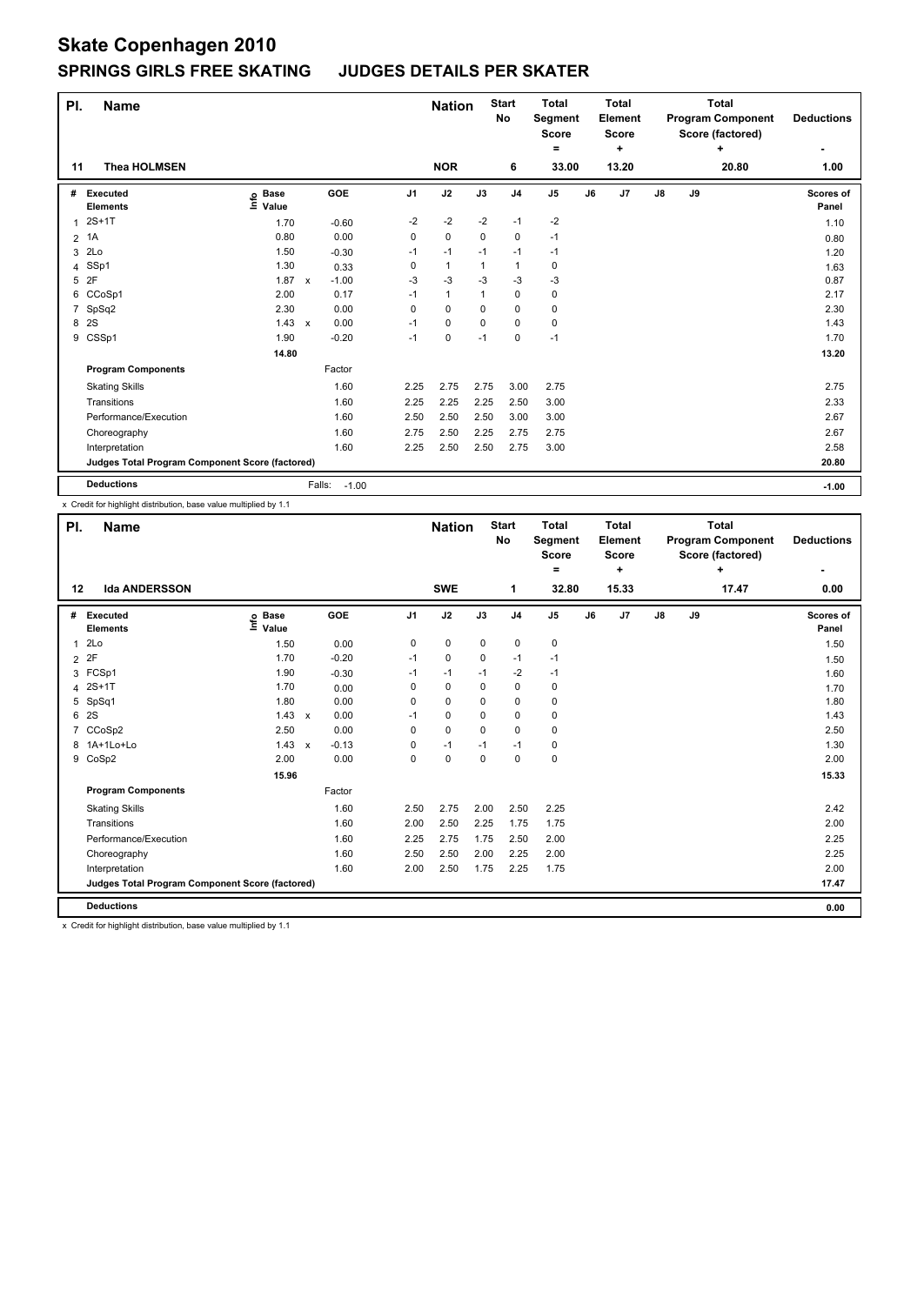| PI.            | <b>Name</b>                                     |                            |              |                   |                | <b>Nation</b> |             | <b>Start</b><br>No | <b>Total</b><br>Segment<br><b>Score</b><br>$=$ |    | <b>Total</b><br>Element<br><b>Score</b><br>٠ | <b>Total</b><br><b>Program Component</b><br>Score (factored)<br>٠ |    |       | <b>Deductions</b>         |
|----------------|-------------------------------------------------|----------------------------|--------------|-------------------|----------------|---------------|-------------|--------------------|------------------------------------------------|----|----------------------------------------------|-------------------------------------------------------------------|----|-------|---------------------------|
| 11             | <b>Thea HOLMSEN</b>                             |                            |              |                   |                | <b>NOR</b>    |             | 6                  | 33.00                                          |    | 13.20                                        |                                                                   |    | 20.80 | ٠<br>1.00                 |
| #              | Executed<br><b>Elements</b>                     | <b>Base</b><br>۴ô<br>Value |              | GOE               | J <sub>1</sub> | J2            | J3          | J <sub>4</sub>     | J <sub>5</sub>                                 | J6 | J7                                           | J8                                                                | J9 |       | <b>Scores of</b><br>Panel |
| 1              | $2S+1T$                                         | 1.70                       |              | $-0.60$           | $-2$           | $-2$          | $-2$        | $-1$               | $-2$                                           |    |                                              |                                                                   |    |       | 1.10                      |
| $\overline{2}$ | 1A                                              | 0.80                       |              | 0.00              | 0              | $\mathbf 0$   | $\mathbf 0$ | $\mathbf 0$        | $-1$                                           |    |                                              |                                                                   |    |       | 0.80                      |
| 3              | 2Lo                                             | 1.50                       |              | $-0.30$           | $-1$           | $-1$          | $-1$        | $-1$               | -1                                             |    |                                              |                                                                   |    |       | 1.20                      |
| 4              | SSp1                                            | 1.30                       |              | 0.33              | 0              | $\mathbf{1}$  | 1           | $\overline{1}$     | 0                                              |    |                                              |                                                                   |    |       | 1.63                      |
| 5              | 2F                                              | 1.87                       | $\mathsf{x}$ | $-1.00$           | $-3$           | $-3$          | -3          | $-3$               | $-3$                                           |    |                                              |                                                                   |    |       | 0.87                      |
| 6              | CCoSp1                                          | 2.00                       |              | 0.17              | $-1$           | $\mathbf{1}$  | 1           | 0                  | 0                                              |    |                                              |                                                                   |    |       | 2.17                      |
| $\overline{7}$ | SpSq2                                           | 2.30                       |              | 0.00              | 0              | 0             | 0           | $\mathbf 0$        | 0                                              |    |                                              |                                                                   |    |       | 2.30                      |
| 8              | 2S                                              | 1.43                       | $\mathsf{x}$ | 0.00              | $-1$           | 0             | 0           | $\mathbf 0$        | 0                                              |    |                                              |                                                                   |    |       | 1.43                      |
|                | 9 CSSp1                                         | 1.90                       |              | $-0.20$           | $-1$           | 0             | $-1$        | $\mathbf 0$        | $-1$                                           |    |                                              |                                                                   |    |       | 1.70                      |
|                |                                                 | 14.80                      |              |                   |                |               |             |                    |                                                |    |                                              |                                                                   |    |       | 13.20                     |
|                | <b>Program Components</b>                       |                            |              | Factor            |                |               |             |                    |                                                |    |                                              |                                                                   |    |       |                           |
|                | <b>Skating Skills</b>                           |                            |              | 1.60              | 2.25           | 2.75          | 2.75        | 3.00               | 2.75                                           |    |                                              |                                                                   |    |       | 2.75                      |
|                | Transitions                                     |                            |              | 1.60              | 2.25           | 2.25          | 2.25        | 2.50               | 3.00                                           |    |                                              |                                                                   |    |       | 2.33                      |
|                | Performance/Execution                           |                            |              | 1.60              | 2.50           | 2.50          | 2.50        | 3.00               | 3.00                                           |    |                                              |                                                                   |    |       | 2.67                      |
|                | Choreography                                    |                            |              | 1.60              | 2.75           | 2.50          | 2.25        | 2.75               | 2.75                                           |    |                                              |                                                                   |    |       | 2.67                      |
|                | Interpretation                                  |                            |              | 1.60              | 2.25           | 2.50          | 2.50        | 2.75               | 3.00                                           |    |                                              |                                                                   |    |       | 2.58                      |
|                | Judges Total Program Component Score (factored) |                            |              |                   |                |               |             |                    |                                                |    |                                              |                                                                   |    |       | 20.80                     |
|                | <b>Deductions</b>                               |                            |              | Falls:<br>$-1.00$ |                |               |             |                    |                                                |    |                                              |                                                                   |    |       | $-1.00$                   |

x Credit for highlight distribution, base value multiplied by 1.1

|   | PI.<br><b>Name</b><br><b>Ida ANDERSSON</b><br>12 |                            |         |                | <b>Nation</b> |          | <b>Start</b><br>No | <b>Total</b><br>Segment<br><b>Score</b><br>۰ |    | <b>Total</b><br>Element<br><b>Score</b><br>÷ |               |    | <b>Total</b><br><b>Program Component</b><br>Score (factored)<br>÷ | <b>Deductions</b>  |
|---|--------------------------------------------------|----------------------------|---------|----------------|---------------|----------|--------------------|----------------------------------------------|----|----------------------------------------------|---------------|----|-------------------------------------------------------------------|--------------------|
|   |                                                  |                            |         |                | <b>SWE</b>    |          | 1                  | 32.80                                        |    | 15.33                                        |               |    | 17.47                                                             | 0.00               |
| # | Executed<br><b>Elements</b>                      | e Base<br>E Value<br>Value | GOE     | J <sub>1</sub> | J2            | J3       | J <sub>4</sub>     | J <sub>5</sub>                               | J6 | J7                                           | $\mathsf{J}8$ | J9 |                                                                   | Scores of<br>Panel |
| 1 | 2Lo                                              | 1.50                       | 0.00    | 0              | $\mathbf 0$   | 0        | 0                  | 0                                            |    |                                              |               |    |                                                                   | 1.50               |
|   | 2 2F                                             | 1.70                       | $-0.20$ | $-1$           | 0             | 0        | $-1$               | $-1$                                         |    |                                              |               |    |                                                                   | 1.50               |
|   | 3 FCSp1                                          | 1.90                       | $-0.30$ | $-1$           | $-1$          | $-1$     | $-2$               | $-1$                                         |    |                                              |               |    |                                                                   | 1.60               |
| 4 | $2S+1T$                                          | 1.70                       | 0.00    | 0              | 0             | 0        | $\mathbf 0$        | 0                                            |    |                                              |               |    |                                                                   | 1.70               |
| 5 | SpSq1                                            | 1.80                       | 0.00    | $\Omega$       | $\Omega$      | $\Omega$ | 0                  | 0                                            |    |                                              |               |    |                                                                   | 1.80               |
| 6 | 2S                                               | $1.43 \times$              | 0.00    | $-1$           | 0             | 0        | 0                  | 0                                            |    |                                              |               |    |                                                                   | 1.43               |
| 7 | CCoSp2                                           | 2.50                       | 0.00    | 0              | $\mathbf 0$   | $\Omega$ | $\mathbf 0$        | 0                                            |    |                                              |               |    |                                                                   | 2.50               |
|   | 8 1A+1Lo+Lo                                      | $1.43 \times$              | $-0.13$ | 0              | $-1$          | $-1$     | $-1$               | 0                                            |    |                                              |               |    |                                                                   | 1.30               |
|   | 9 CoSp2                                          | 2.00                       | 0.00    | 0              | $\mathbf 0$   | 0        | 0                  | 0                                            |    |                                              |               |    |                                                                   | 2.00               |
|   |                                                  | 15.96                      |         |                |               |          |                    |                                              |    |                                              |               |    |                                                                   | 15.33              |
|   | <b>Program Components</b>                        |                            | Factor  |                |               |          |                    |                                              |    |                                              |               |    |                                                                   |                    |
|   | <b>Skating Skills</b>                            |                            | 1.60    | 2.50           | 2.75          | 2.00     | 2.50               | 2.25                                         |    |                                              |               |    |                                                                   | 2.42               |
|   | Transitions                                      |                            | 1.60    | 2.00           | 2.50          | 2.25     | 1.75               | 1.75                                         |    |                                              |               |    |                                                                   | 2.00               |
|   | Performance/Execution                            |                            | 1.60    | 2.25           | 2.75          | 1.75     | 2.50               | 2.00                                         |    |                                              |               |    |                                                                   | 2.25               |
|   | Choreography                                     |                            | 1.60    | 2.50           | 2.50          | 2.00     | 2.25               | 2.00                                         |    |                                              |               |    |                                                                   | 2.25               |
|   | Interpretation                                   |                            | 1.60    | 2.00           | 2.50          | 1.75     | 2.25               | 1.75                                         |    |                                              |               |    |                                                                   | 2.00               |
|   | Judges Total Program Component Score (factored)  |                            |         |                |               |          |                    |                                              |    |                                              |               |    |                                                                   | 17.47              |
|   | <b>Deductions</b>                                |                            |         |                |               |          |                    |                                              |    |                                              |               |    |                                                                   | 0.00               |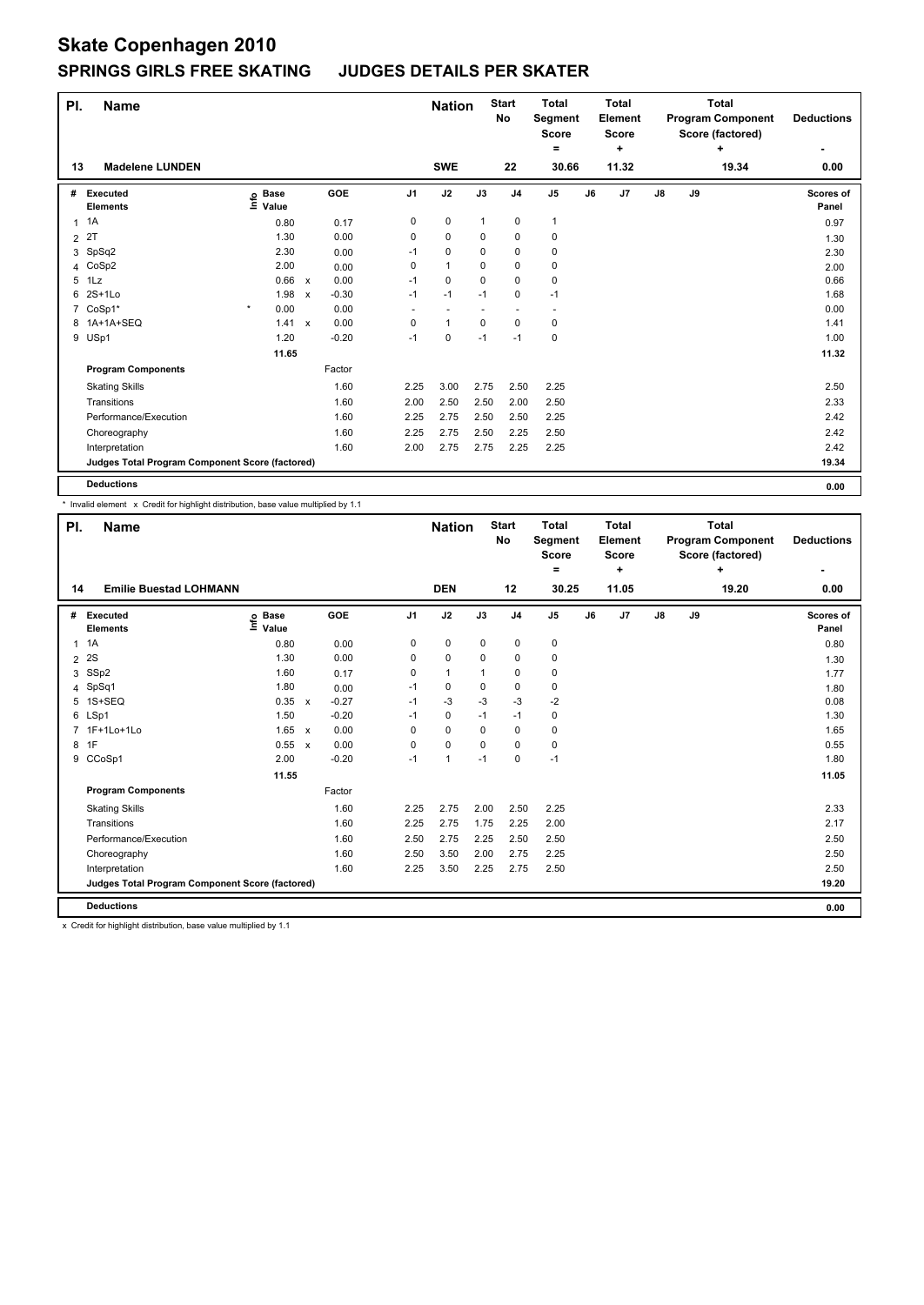| PI.            | <b>Name</b>                                     |                                  |                           |         |                          | <b>Nation</b>            |              | <b>Start</b><br>No | <b>Total</b><br>Segment<br><b>Score</b><br>= |    | <b>Total</b><br>Element<br><b>Score</b><br>÷ |    |    | <b>Total</b><br><b>Program Component</b><br>Score (factored)<br>÷ | <b>Deductions</b>  |
|----------------|-------------------------------------------------|----------------------------------|---------------------------|---------|--------------------------|--------------------------|--------------|--------------------|----------------------------------------------|----|----------------------------------------------|----|----|-------------------------------------------------------------------|--------------------|
| 13             | <b>Madelene LUNDEN</b>                          |                                  |                           |         |                          | <b>SWE</b>               |              | 22                 | 30.66                                        |    | 11.32                                        |    |    | 19.34                                                             | 0.00               |
| #              | Executed<br><b>Elements</b>                     | <b>Base</b><br>e Base<br>⊆ Value |                           | GOE     | J <sub>1</sub>           | J2                       | J3           | J <sub>4</sub>     | J <sub>5</sub>                               | J6 | J7                                           | J8 | J9 |                                                                   | Scores of<br>Panel |
|                | $1 \t1A$                                        | 0.80                             |                           | 0.17    | 0                        | 0                        | $\mathbf{1}$ | 0                  | $\mathbf{1}$                                 |    |                                              |    |    |                                                                   | 0.97               |
| $\overline{2}$ | 2T                                              | 1.30                             |                           | 0.00    | 0                        | $\mathbf 0$              | 0            | 0                  | $\mathbf 0$                                  |    |                                              |    |    |                                                                   | 1.30               |
| 3              | SpSq2                                           | 2.30                             |                           | 0.00    | $-1$                     | 0                        | 0            | 0                  | 0                                            |    |                                              |    |    |                                                                   | 2.30               |
| 4              | CoSp2                                           | 2.00                             |                           | 0.00    | 0                        | $\mathbf{1}$             | $\Omega$     | 0                  | 0                                            |    |                                              |    |    |                                                                   | 2.00               |
| 5              | 1Lz                                             | 0.66 x                           |                           | 0.00    | $-1$                     | 0                        | 0            | 0                  | 0                                            |    |                                              |    |    |                                                                   | 0.66               |
| 6              | $2S+1L0$                                        | 1.98                             | $\boldsymbol{\mathsf{x}}$ | $-0.30$ | $-1$                     | $-1$                     | $-1$         | 0                  | $-1$                                         |    |                                              |    |    |                                                                   | 1.68               |
|                | 7 CoSp1*                                        | $\star$<br>0.00                  |                           | 0.00    | $\overline{\phantom{a}}$ | $\overline{\phantom{a}}$ |              | ٠                  | $\overline{\phantom{a}}$                     |    |                                              |    |    |                                                                   | 0.00               |
|                | 8 1A+1A+SEQ                                     | 1.41                             | $\mathsf{x}$              | 0.00    | 0                        | $\mathbf{1}$             | 0            | 0                  | 0                                            |    |                                              |    |    |                                                                   | 1.41               |
|                | 9 USp1                                          | 1.20                             |                           | $-0.20$ | $-1$                     | 0                        | $-1$         | $-1$               | $\mathbf 0$                                  |    |                                              |    |    |                                                                   | 1.00               |
|                |                                                 | 11.65                            |                           |         |                          |                          |              |                    |                                              |    |                                              |    |    |                                                                   | 11.32              |
|                | <b>Program Components</b>                       |                                  |                           | Factor  |                          |                          |              |                    |                                              |    |                                              |    |    |                                                                   |                    |
|                | <b>Skating Skills</b>                           |                                  |                           | 1.60    | 2.25                     | 3.00                     | 2.75         | 2.50               | 2.25                                         |    |                                              |    |    |                                                                   | 2.50               |
|                | Transitions                                     |                                  |                           | 1.60    | 2.00                     | 2.50                     | 2.50         | 2.00               | 2.50                                         |    |                                              |    |    |                                                                   | 2.33               |
|                | Performance/Execution                           |                                  |                           | 1.60    | 2.25                     | 2.75                     | 2.50         | 2.50               | 2.25                                         |    |                                              |    |    |                                                                   | 2.42               |
|                | Choreography                                    |                                  |                           | 1.60    | 2.25                     | 2.75                     | 2.50         | 2.25               | 2.50                                         |    |                                              |    |    |                                                                   | 2.42               |
|                | Interpretation                                  |                                  |                           | 1.60    | 2.00                     | 2.75                     | 2.75         | 2.25               | 2.25                                         |    |                                              |    |    |                                                                   | 2.42               |
|                | Judges Total Program Component Score (factored) |                                  |                           |         |                          |                          |              |                    |                                              |    |                                              |    |    |                                                                   | 19.34              |
|                | <b>Deductions</b>                               |                                  |                           |         |                          |                          |              |                    |                                              |    |                                              |    |    |                                                                   | 0.00               |

\* Invalid element x Credit for highlight distribution, base value multiplied by 1.1

| PI.            | <b>Name</b>                                     |                              |                           |         |                | <b>Nation</b> |             | <b>Start</b><br>No | <b>Total</b><br>Segment<br><b>Score</b><br>۰ |    | <b>Total</b><br>Element<br><b>Score</b><br>÷ |    |    | <b>Total</b><br><b>Program Component</b><br>Score (factored)<br>÷ | <b>Deductions</b>  |
|----------------|-------------------------------------------------|------------------------------|---------------------------|---------|----------------|---------------|-------------|--------------------|----------------------------------------------|----|----------------------------------------------|----|----|-------------------------------------------------------------------|--------------------|
| 14             | <b>Emilie Buestad LOHMANN</b>                   |                              |                           |         |                | <b>DEN</b>    |             | 12                 | 30.25                                        |    | 11.05                                        |    |    | 19.20                                                             | 0.00               |
| #              | Executed<br><b>Elements</b>                     | <b>Base</b><br>١nf٥<br>Value |                           | GOE     | J <sub>1</sub> | J2            | J3          | J <sub>4</sub>     | J <sub>5</sub>                               | J6 | J7                                           | J8 | J9 |                                                                   | Scores of<br>Panel |
| 1              | 1A                                              | 0.80                         |                           | 0.00    | 0              | $\pmb{0}$     | $\mathbf 0$ | $\mathbf 0$        | $\pmb{0}$                                    |    |                                              |    |    |                                                                   | 0.80               |
| $\overline{2}$ | 2S                                              | 1.30                         |                           | 0.00    | 0              | 0             | 0           | 0                  | 0                                            |    |                                              |    |    |                                                                   | 1.30               |
| 3              | SSp2                                            | 1.60                         |                           | 0.17    | 0              | $\mathbf{1}$  |             | $\mathbf 0$        | 0                                            |    |                                              |    |    |                                                                   | 1.77               |
|                | 4 SpSq1                                         | 1.80                         |                           | 0.00    | $-1$           | $\mathbf 0$   | $\mathbf 0$ | $\mathbf 0$        | $\mathbf 0$                                  |    |                                              |    |    |                                                                   | 1.80               |
| 5              | 1S+SEQ                                          | 0.35                         | $\mathsf{x}$              | $-0.27$ | $-1$           | -3            | -3          | $-3$               | -2                                           |    |                                              |    |    |                                                                   | 0.08               |
|                | 6 LSp1                                          | 1.50                         |                           | $-0.20$ | $-1$           | 0             | $-1$        | $-1$               | 0                                            |    |                                              |    |    |                                                                   | 1.30               |
| $\overline{7}$ | 1F+1Lo+1Lo                                      | 1.65                         | $\boldsymbol{\mathsf{x}}$ | 0.00    | 0              | $\mathbf 0$   | 0           | $\mathbf 0$        | $\mathbf 0$                                  |    |                                              |    |    |                                                                   | 1.65               |
| 8              | 1F                                              | 0.55                         | $\boldsymbol{\mathsf{x}}$ | 0.00    | 0              | $\mathbf 0$   | 0           | 0                  | 0                                            |    |                                              |    |    |                                                                   | 0.55               |
| 9              | CCoSp1                                          | 2.00                         |                           | $-0.20$ | $-1$           | $\mathbf{1}$  | $-1$        | $\Omega$           | $-1$                                         |    |                                              |    |    |                                                                   | 1.80               |
|                |                                                 | 11.55                        |                           |         |                |               |             |                    |                                              |    |                                              |    |    |                                                                   | 11.05              |
|                | <b>Program Components</b>                       |                              |                           | Factor  |                |               |             |                    |                                              |    |                                              |    |    |                                                                   |                    |
|                | <b>Skating Skills</b>                           |                              |                           | 1.60    | 2.25           | 2.75          | 2.00        | 2.50               | 2.25                                         |    |                                              |    |    |                                                                   | 2.33               |
|                | Transitions                                     |                              |                           | 1.60    | 2.25           | 2.75          | 1.75        | 2.25               | 2.00                                         |    |                                              |    |    |                                                                   | 2.17               |
|                | Performance/Execution                           |                              |                           | 1.60    | 2.50           | 2.75          | 2.25        | 2.50               | 2.50                                         |    |                                              |    |    |                                                                   | 2.50               |
|                | Choreography                                    |                              |                           | 1.60    | 2.50           | 3.50          | 2.00        | 2.75               | 2.25                                         |    |                                              |    |    |                                                                   | 2.50               |
|                | Interpretation                                  |                              |                           | 1.60    | 2.25           | 3.50          | 2.25        | 2.75               | 2.50                                         |    |                                              |    |    |                                                                   | 2.50               |
|                | Judges Total Program Component Score (factored) |                              |                           |         |                |               |             |                    |                                              |    |                                              |    |    |                                                                   | 19.20              |
|                | <b>Deductions</b>                               |                              |                           |         |                |               |             |                    |                                              |    |                                              |    |    |                                                                   | 0.00               |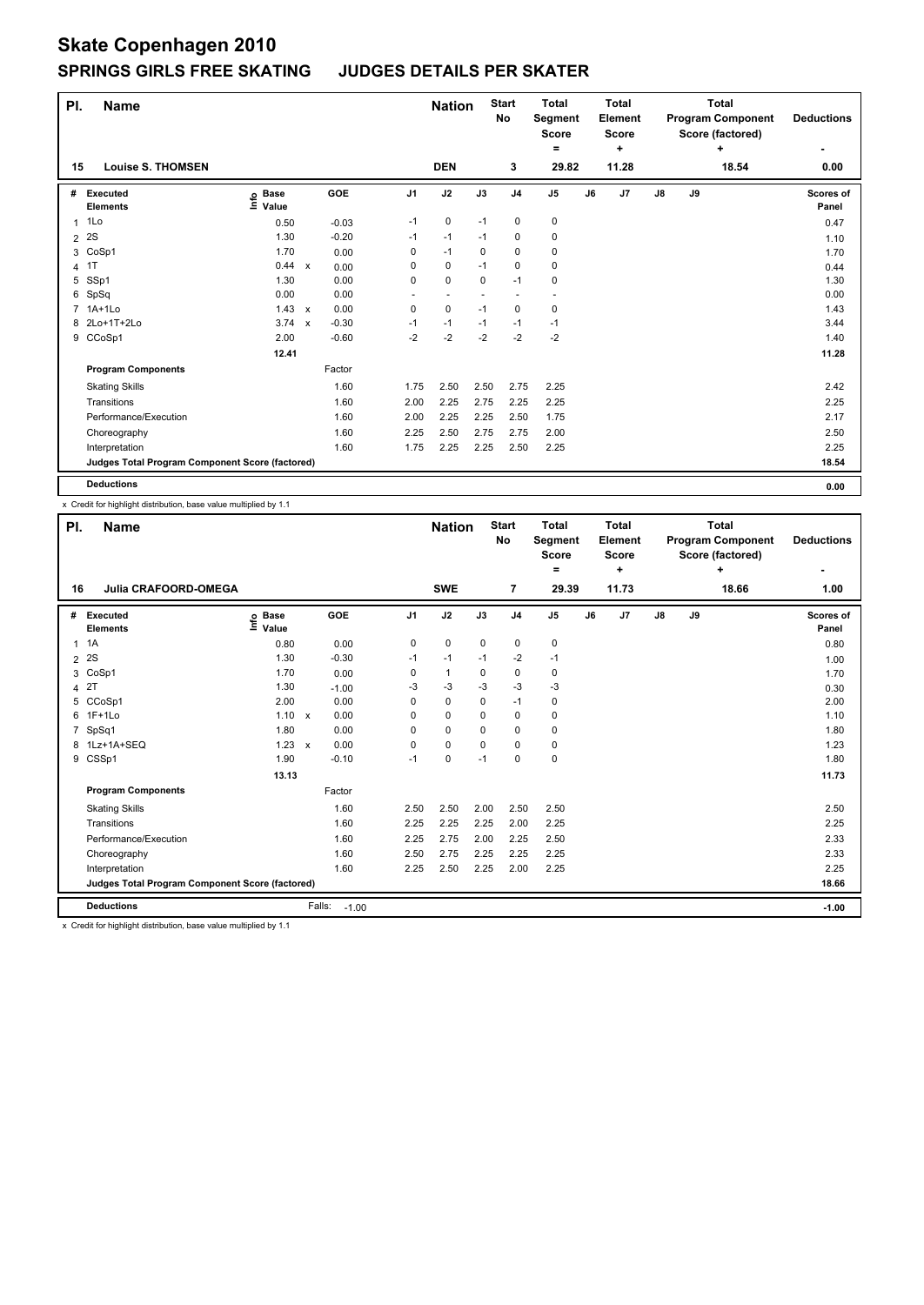| PI. | <b>Name</b>                                     |                                  |                           |         |                | <b>Nation</b> |      | <b>Start</b><br>No | <b>Total</b><br>Segment<br><b>Score</b><br>= |    | <b>Total</b><br>Element<br><b>Score</b><br>٠ |               |    | <b>Total</b><br><b>Program Component</b><br>Score (factored)<br>÷ | <b>Deductions</b>  |
|-----|-------------------------------------------------|----------------------------------|---------------------------|---------|----------------|---------------|------|--------------------|----------------------------------------------|----|----------------------------------------------|---------------|----|-------------------------------------------------------------------|--------------------|
| 15  | <b>Louise S. THOMSEN</b>                        |                                  |                           |         |                | <b>DEN</b>    |      | 3                  | 29.82                                        |    | 11.28                                        |               |    | 18.54                                                             | 0.00               |
| #   | Executed<br><b>Elements</b>                     | <b>Base</b><br>e Base<br>⊆ Value |                           | GOE     | J <sub>1</sub> | J2            | J3   | J <sub>4</sub>     | J <sub>5</sub>                               | J6 | J7                                           | $\mathsf{J}8$ | J9 |                                                                   | Scores of<br>Panel |
| 1   | 1Lo                                             | 0.50                             |                           | $-0.03$ | $-1$           | $\mathbf 0$   | $-1$ | 0                  | $\pmb{0}$                                    |    |                                              |               |    |                                                                   | 0.47               |
| 2   | 2S                                              | 1.30                             |                           | $-0.20$ | $-1$           | $-1$          | $-1$ | 0                  | $\pmb{0}$                                    |    |                                              |               |    |                                                                   | 1.10               |
| 3   | CoSp1                                           | 1.70                             |                           | 0.00    | 0              | $-1$          | 0    | $\mathbf 0$        | $\pmb{0}$                                    |    |                                              |               |    |                                                                   | 1.70               |
| 4   | 1T                                              | 0.44                             | $\boldsymbol{\mathsf{x}}$ | 0.00    | 0              | $\mathbf 0$   | $-1$ | $\mathbf 0$        | $\pmb{0}$                                    |    |                                              |               |    |                                                                   | 0.44               |
| 5   | SSp1                                            | 1.30                             |                           | 0.00    | 0              | $\mathbf 0$   | 0    | $-1$               | 0                                            |    |                                              |               |    |                                                                   | 1.30               |
| 6   | SpSq                                            | 0.00                             |                           | 0.00    |                |               |      |                    |                                              |    |                                              |               |    |                                                                   | 0.00               |
|     | 7 1A+1Lo                                        | 1.43                             | $\mathbf{x}$              | 0.00    | 0              | $\mathbf 0$   | $-1$ | 0                  | 0                                            |    |                                              |               |    |                                                                   | 1.43               |
|     | 8 2Lo+1T+2Lo                                    | $3.74 \times$                    |                           | $-0.30$ | $-1$           | $-1$          | $-1$ | $-1$               | $-1$                                         |    |                                              |               |    |                                                                   | 3.44               |
| 9   | CCoSp1                                          | 2.00                             |                           | $-0.60$ | $-2$           | $-2$          | $-2$ | $-2$               | $-2$                                         |    |                                              |               |    |                                                                   | 1.40               |
|     |                                                 | 12.41                            |                           |         |                |               |      |                    |                                              |    |                                              |               |    |                                                                   | 11.28              |
|     | <b>Program Components</b>                       |                                  |                           | Factor  |                |               |      |                    |                                              |    |                                              |               |    |                                                                   |                    |
|     | <b>Skating Skills</b>                           |                                  |                           | 1.60    | 1.75           | 2.50          | 2.50 | 2.75               | 2.25                                         |    |                                              |               |    |                                                                   | 2.42               |
|     | Transitions                                     |                                  |                           | 1.60    | 2.00           | 2.25          | 2.75 | 2.25               | 2.25                                         |    |                                              |               |    |                                                                   | 2.25               |
|     | Performance/Execution                           |                                  |                           | 1.60    | 2.00           | 2.25          | 2.25 | 2.50               | 1.75                                         |    |                                              |               |    |                                                                   | 2.17               |
|     | Choreography                                    |                                  |                           | 1.60    | 2.25           | 2.50          | 2.75 | 2.75               | 2.00                                         |    |                                              |               |    |                                                                   | 2.50               |
|     | Interpretation                                  |                                  |                           | 1.60    | 1.75           | 2.25          | 2.25 | 2.50               | 2.25                                         |    |                                              |               |    |                                                                   | 2.25               |
|     | Judges Total Program Component Score (factored) |                                  |                           |         |                |               |      |                    |                                              |    |                                              |               |    |                                                                   | 18.54              |
|     | <b>Deductions</b>                               |                                  |                           |         |                |               |      |                    |                                              |    |                                              |               |    |                                                                   | 0.00               |

x Credit for highlight distribution, base value multiplied by 1.1

| PI.            | Name                                            |                           |              |         |                | <b>Nation</b> |             | <b>Start</b><br><b>No</b> | <b>Total</b><br>Segment<br><b>Score</b><br>۰ |    | <b>Total</b><br>Element<br><b>Score</b><br>÷ |               |    | Total<br><b>Program Component</b><br>Score (factored)<br>4 | <b>Deductions</b>  |
|----------------|-------------------------------------------------|---------------------------|--------------|---------|----------------|---------------|-------------|---------------------------|----------------------------------------------|----|----------------------------------------------|---------------|----|------------------------------------------------------------|--------------------|
| 16             | <b>Julia CRAFOORD-OMEGA</b>                     |                           |              |         |                | <b>SWE</b>    |             | $\overline{7}$            | 29.39                                        |    | 11.73                                        |               |    | 18.66                                                      | 1.00               |
| #              | Executed<br><b>Elements</b>                     | <b>Base</b><br>e<br>Value |              | GOE     | J <sub>1</sub> | J2            | J3          | J <sub>4</sub>            | $\mathsf{J}5$                                | J6 | J7                                           | $\mathsf{J}8$ | J9 |                                                            | Scores of<br>Panel |
| 1              | 1A                                              | 0.80                      |              | 0.00    | 0              | $\mathbf 0$   | $\mathbf 0$ | $\mathbf 0$               | 0                                            |    |                                              |               |    |                                                            | 0.80               |
| $\overline{2}$ | 2S                                              | 1.30                      |              | $-0.30$ | $-1$           | $-1$          | $-1$        | $-2$                      | $-1$                                         |    |                                              |               |    |                                                            | 1.00               |
| 3              | CoSp1                                           | 1.70                      |              | 0.00    | 0              | $\mathbf{1}$  | 0           | 0                         | 0                                            |    |                                              |               |    |                                                            | 1.70               |
| 4              | 2T                                              | 1.30                      |              | $-1.00$ | $-3$           | $-3$          | $-3$        | $-3$                      | $-3$                                         |    |                                              |               |    |                                                            | 0.30               |
| 5              | CCoSp1                                          | 2.00                      |              | 0.00    | 0              | $\pmb{0}$     | $\Omega$    | $-1$                      | $\pmb{0}$                                    |    |                                              |               |    |                                                            | 2.00               |
| 6              | $1F+1Lo$                                        | 1.10                      | $\mathsf{x}$ | 0.00    | 0              | $\mathbf 0$   | $\Omega$    | $\mathbf 0$               | 0                                            |    |                                              |               |    |                                                            | 1.10               |
| 7              | SpSq1                                           | 1.80                      |              | 0.00    | 0              | $\mathbf 0$   | $\Omega$    | $\mathbf 0$               | $\mathbf 0$                                  |    |                                              |               |    |                                                            | 1.80               |
|                | 8 1Lz+1A+SEQ                                    | $1.23 \times$             |              | 0.00    | 0              | $\mathbf 0$   | $\mathbf 0$ | $\mathbf 0$               | 0                                            |    |                                              |               |    |                                                            | 1.23               |
|                | 9 CSSp1                                         | 1.90                      |              | $-0.10$ | $-1$           | $\mathbf 0$   | $-1$        | $\mathbf 0$               | $\pmb{0}$                                    |    |                                              |               |    |                                                            | 1.80               |
|                |                                                 | 13.13                     |              |         |                |               |             |                           |                                              |    |                                              |               |    |                                                            | 11.73              |
|                | <b>Program Components</b>                       |                           |              | Factor  |                |               |             |                           |                                              |    |                                              |               |    |                                                            |                    |
|                | <b>Skating Skills</b>                           |                           |              | 1.60    | 2.50           | 2.50          | 2.00        | 2.50                      | 2.50                                         |    |                                              |               |    |                                                            | 2.50               |
|                | Transitions                                     |                           |              | 1.60    | 2.25           | 2.25          | 2.25        | 2.00                      | 2.25                                         |    |                                              |               |    |                                                            | 2.25               |
|                | Performance/Execution                           |                           |              | 1.60    | 2.25           | 2.75          | 2.00        | 2.25                      | 2.50                                         |    |                                              |               |    |                                                            | 2.33               |
|                | Choreography                                    |                           |              | 1.60    | 2.50           | 2.75          | 2.25        | 2.25                      | 2.25                                         |    |                                              |               |    |                                                            | 2.33               |
|                | Interpretation                                  |                           |              | 1.60    | 2.25           | 2.50          | 2.25        | 2.00                      | 2.25                                         |    |                                              |               |    |                                                            | 2.25               |
|                | Judges Total Program Component Score (factored) |                           |              |         |                |               |             |                           |                                              |    |                                              |               |    |                                                            | 18.66              |
|                | <b>Deductions</b>                               |                           | Falls:       | $-1.00$ |                |               |             |                           |                                              |    |                                              |               |    |                                                            | $-1.00$            |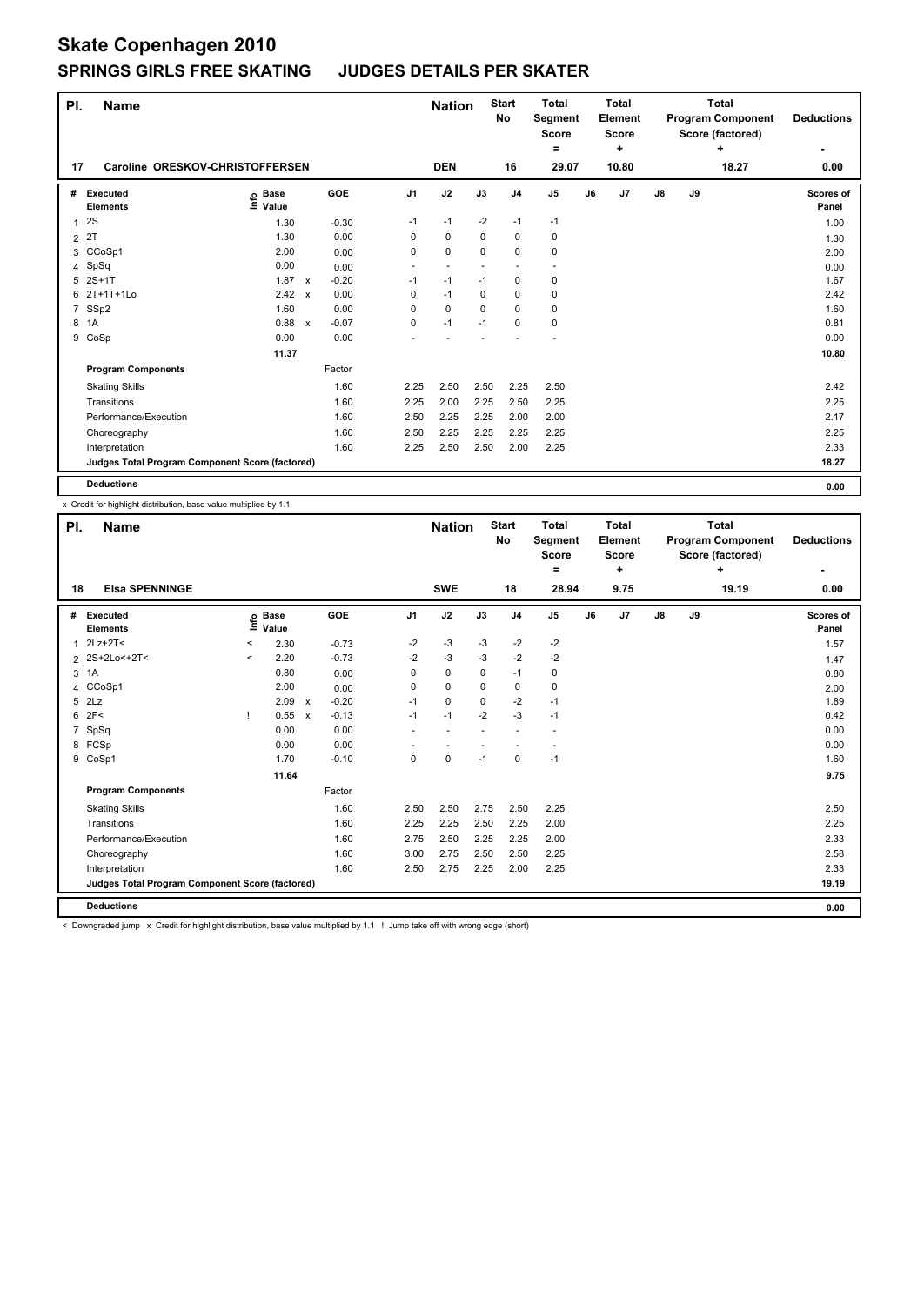| PI.            | <b>Name</b>                                     |                                  |              |         |                          | <b>Nation</b>            |             | <b>Start</b><br>No | <b>Total</b><br>Segment<br><b>Score</b><br>= |    | <b>Total</b><br>Element<br>Score<br>٠ |               |    | <b>Total</b><br><b>Program Component</b><br>Score (factored)<br>÷ | <b>Deductions</b>  |
|----------------|-------------------------------------------------|----------------------------------|--------------|---------|--------------------------|--------------------------|-------------|--------------------|----------------------------------------------|----|---------------------------------------|---------------|----|-------------------------------------------------------------------|--------------------|
| 17             | Caroline ORESKOV-CHRISTOFFERSEN                 |                                  |              |         |                          | <b>DEN</b>               |             | 16                 | 29.07                                        |    | 10.80                                 |               |    | 18.27                                                             | 0.00               |
| #              | Executed<br><b>Elements</b>                     | <b>Base</b><br>e Base<br>⊆ Value |              | GOE     | J <sub>1</sub>           | J2                       | J3          | J <sub>4</sub>     | J <sub>5</sub>                               | J6 | J7                                    | $\mathsf{J}8$ | J9 |                                                                   | Scores of<br>Panel |
| 1              | 2S                                              | 1.30                             |              | $-0.30$ | $-1$                     | $-1$                     | $-2$        | $-1$               | $-1$                                         |    |                                       |               |    |                                                                   | 1.00               |
| $\overline{2}$ | 2T                                              | 1.30                             |              | 0.00    | 0                        | $\mathbf 0$              | $\mathbf 0$ | 0                  | 0                                            |    |                                       |               |    |                                                                   | 1.30               |
|                | 3 CCoSp1                                        | 2.00                             |              | 0.00    | 0                        | 0                        | $\mathbf 0$ | $\mathbf 0$        | $\mathbf 0$                                  |    |                                       |               |    |                                                                   | 2.00               |
| 4              | SpSq                                            | 0.00                             |              | 0.00    | $\overline{\phantom{a}}$ | $\overline{\phantom{a}}$ |             |                    | $\overline{\phantom{a}}$                     |    |                                       |               |    |                                                                   | 0.00               |
| 5              | $2S+1T$                                         | 1.87                             | $\mathsf{x}$ | $-0.20$ | $-1$                     | $-1$                     | $-1$        | 0                  | 0                                            |    |                                       |               |    |                                                                   | 1.67               |
|                | 6 2T+1T+1Lo                                     | 2.42                             | $\mathsf{x}$ | 0.00    | 0                        | $-1$                     | 0           | 0                  | 0                                            |    |                                       |               |    |                                                                   | 2.42               |
| $\overline{7}$ | SSp2                                            | 1.60                             |              | 0.00    | 0                        | $\mathbf 0$              | $\Omega$    | 0                  | 0                                            |    |                                       |               |    |                                                                   | 1.60               |
| 8              | 1A                                              | 0.88                             | $\mathsf{x}$ | $-0.07$ | 0                        | $-1$                     | $-1$        | 0                  | 0                                            |    |                                       |               |    |                                                                   | 0.81               |
|                | 9 CoSp                                          | 0.00                             |              | 0.00    |                          |                          |             |                    |                                              |    |                                       |               |    |                                                                   | 0.00               |
|                |                                                 | 11.37                            |              |         |                          |                          |             |                    |                                              |    |                                       |               |    |                                                                   | 10.80              |
|                | <b>Program Components</b>                       |                                  |              | Factor  |                          |                          |             |                    |                                              |    |                                       |               |    |                                                                   |                    |
|                | <b>Skating Skills</b>                           |                                  |              | 1.60    | 2.25                     | 2.50                     | 2.50        | 2.25               | 2.50                                         |    |                                       |               |    |                                                                   | 2.42               |
|                | Transitions                                     |                                  |              | 1.60    | 2.25                     | 2.00                     | 2.25        | 2.50               | 2.25                                         |    |                                       |               |    |                                                                   | 2.25               |
|                | Performance/Execution                           |                                  |              | 1.60    | 2.50                     | 2.25                     | 2.25        | 2.00               | 2.00                                         |    |                                       |               |    |                                                                   | 2.17               |
|                | Choreography                                    |                                  |              | 1.60    | 2.50                     | 2.25                     | 2.25        | 2.25               | 2.25                                         |    |                                       |               |    |                                                                   | 2.25               |
|                | Interpretation                                  |                                  |              | 1.60    | 2.25                     | 2.50                     | 2.50        | 2.00               | 2.25                                         |    |                                       |               |    |                                                                   | 2.33               |
|                | Judges Total Program Component Score (factored) |                                  |              |         |                          |                          |             |                    |                                              |    |                                       |               |    |                                                                   | 18.27              |
|                | <b>Deductions</b>                               |                                  |              |         |                          |                          |             |                    |                                              |    |                                       |               |    |                                                                   | 0.00               |

x Credit for highlight distribution, base value multiplied by 1.1

| PI.            | <b>Name</b>                                     |         |                      |                           |         |                | <b>Nation</b> |          | <b>Start</b><br>No | <b>Total</b><br>Segment<br><b>Score</b><br>۰ |    | <b>Total</b><br>Element<br><b>Score</b><br>÷ |    |    | <b>Total</b><br><b>Program Component</b><br>Score (factored)<br>÷ | <b>Deductions</b>  |
|----------------|-------------------------------------------------|---------|----------------------|---------------------------|---------|----------------|---------------|----------|--------------------|----------------------------------------------|----|----------------------------------------------|----|----|-------------------------------------------------------------------|--------------------|
| 18             | <b>Elsa SPENNINGE</b>                           |         |                      |                           |         |                | <b>SWE</b>    |          | 18                 | 28.94                                        |    | 9.75                                         |    |    | 19.19                                                             | 0.00               |
| #              | Executed<br><b>Elements</b>                     | lnfo    | <b>Base</b><br>Value |                           | GOE     | J <sub>1</sub> | J2            | J3       | J <sub>4</sub>     | J <sub>5</sub>                               | J6 | J7                                           | J8 | J9 |                                                                   | Scores of<br>Panel |
| 1              | $2Lz+2T2$                                       | $\,<$   | 2.30                 |                           | $-0.73$ | $-2$           | $-3$          | $-3$     | $-2$               | $-2$                                         |    |                                              |    |    |                                                                   | 1.57               |
| $\overline{2}$ | 2S+2Lo<+2T<                                     | $\prec$ | 2.20                 |                           | $-0.73$ | $-2$           | $-3$          | -3       | $-2$               | $-2$                                         |    |                                              |    |    |                                                                   | 1.47               |
| 3              | 1A                                              |         | 0.80                 |                           | 0.00    | 0              | $\mathbf 0$   | 0        | $-1$               | 0                                            |    |                                              |    |    |                                                                   | 0.80               |
| 4              | CCoSp1                                          |         | 2.00                 |                           | 0.00    | 0              | $\mathbf 0$   | $\Omega$ | $\mathbf 0$        | $\mathbf 0$                                  |    |                                              |    |    |                                                                   | 2.00               |
| 5              | 2Lz                                             |         | 2.09                 | $\mathsf{x}$              | $-0.20$ | $-1$           | 0             | 0        | $-2$               | $-1$                                         |    |                                              |    |    |                                                                   | 1.89               |
| 6              | 2F<                                             |         | 0.55                 | $\boldsymbol{\mathsf{x}}$ | $-0.13$ | $-1$           | $-1$          | $-2$     | $-3$               | $-1$                                         |    |                                              |    |    |                                                                   | 0.42               |
| $\overline{7}$ | SpSq                                            |         | 0.00                 |                           | 0.00    |                |               |          |                    |                                              |    |                                              |    |    |                                                                   | 0.00               |
|                | 8 FCSp                                          |         | 0.00                 |                           | 0.00    |                |               |          |                    | $\overline{\phantom{a}}$                     |    |                                              |    |    |                                                                   | 0.00               |
|                | 9 CoSp1                                         |         | 1.70                 |                           | $-0.10$ | $\Omega$       | 0             | $-1$     | 0                  | $-1$                                         |    |                                              |    |    |                                                                   | 1.60               |
|                |                                                 |         | 11.64                |                           |         |                |               |          |                    |                                              |    |                                              |    |    |                                                                   | 9.75               |
|                | <b>Program Components</b>                       |         |                      |                           | Factor  |                |               |          |                    |                                              |    |                                              |    |    |                                                                   |                    |
|                | <b>Skating Skills</b>                           |         |                      |                           | 1.60    | 2.50           | 2.50          | 2.75     | 2.50               | 2.25                                         |    |                                              |    |    |                                                                   | 2.50               |
|                | Transitions                                     |         |                      |                           | 1.60    | 2.25           | 2.25          | 2.50     | 2.25               | 2.00                                         |    |                                              |    |    |                                                                   | 2.25               |
|                | Performance/Execution                           |         |                      |                           | 1.60    | 2.75           | 2.50          | 2.25     | 2.25               | 2.00                                         |    |                                              |    |    |                                                                   | 2.33               |
|                | Choreography                                    |         |                      |                           | 1.60    | 3.00           | 2.75          | 2.50     | 2.50               | 2.25                                         |    |                                              |    |    |                                                                   | 2.58               |
|                | Interpretation                                  |         |                      |                           | 1.60    | 2.50           | 2.75          | 2.25     | 2.00               | 2.25                                         |    |                                              |    |    |                                                                   | 2.33               |
|                | Judges Total Program Component Score (factored) |         |                      |                           |         |                |               |          |                    |                                              |    |                                              |    |    |                                                                   | 19.19              |
|                | <b>Deductions</b>                               |         |                      |                           |         |                |               |          |                    |                                              |    |                                              |    |    |                                                                   | 0.00               |

< Downgraded jump x Credit for highlight distribution, base value multiplied by 1.1 ! Jump take off with wrong edge (short)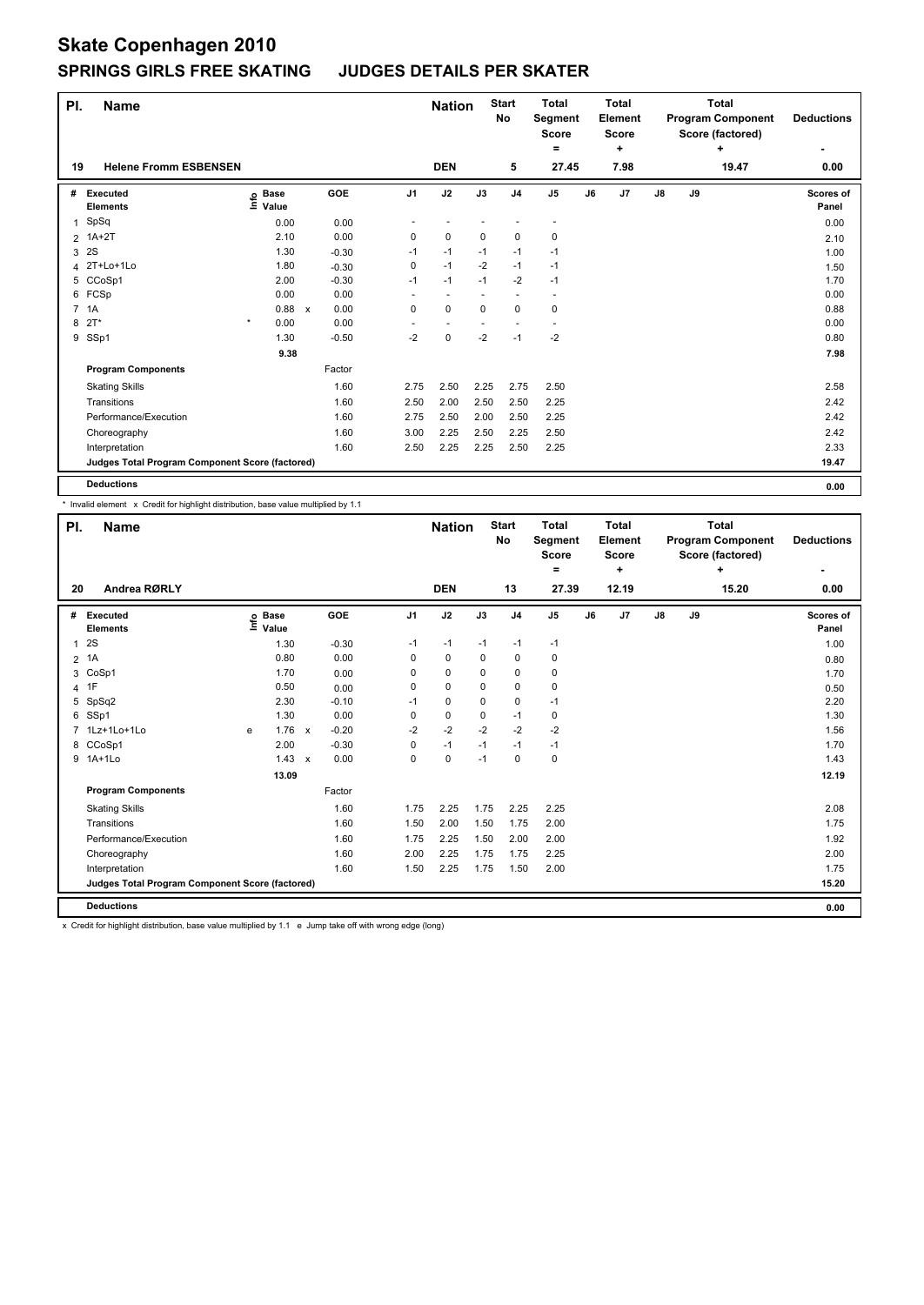| PI. | <b>Name</b>                                     |                           |                      |         |                | <b>Nation</b>            |             | <b>Start</b><br><b>No</b> | <b>Total</b><br>Segment<br>Score<br>= |    | <b>Total</b><br>Element<br><b>Score</b><br>٠ |               |    | <b>Total</b><br><b>Program Component</b><br>Score (factored)<br>٠ | <b>Deductions</b><br>٠    |
|-----|-------------------------------------------------|---------------------------|----------------------|---------|----------------|--------------------------|-------------|---------------------------|---------------------------------------|----|----------------------------------------------|---------------|----|-------------------------------------------------------------------|---------------------------|
| 19  | <b>Helene Fromm ESBENSEN</b>                    |                           |                      |         |                | <b>DEN</b>               |             | 5                         | 27.45                                 |    | 7.98                                         |               |    | 19.47                                                             | 0.00                      |
| #   | <b>Executed</b><br><b>Elements</b>              | Base<br>e Base<br>⊆ Value |                      | GOE     | J <sub>1</sub> | J2                       | J3          | J <sub>4</sub>            | J <sub>5</sub>                        | J6 | J7                                           | $\mathsf{J}8$ | J9 |                                                                   | <b>Scores of</b><br>Panel |
| 1   | SpSq                                            | 0.00                      |                      | 0.00    |                |                          |             |                           |                                       |    |                                              |               |    |                                                                   | 0.00                      |
|     | 2 1A+2T                                         |                           | 2.10                 | 0.00    | 0              | $\mathbf 0$              | $\mathbf 0$ | $\pmb{0}$                 | 0                                     |    |                                              |               |    |                                                                   | 2.10                      |
| 3   | 2S                                              |                           | 1.30                 | $-0.30$ | $-1$           | $-1$                     | $-1$        | $-1$                      | $-1$                                  |    |                                              |               |    |                                                                   | 1.00                      |
|     | 4 2T+Lo+1Lo                                     |                           | 1.80                 | $-0.30$ | $\mathbf 0$    | $-1$                     | $-2$        | $-1$                      | $-1$                                  |    |                                              |               |    |                                                                   | 1.50                      |
|     | 5 CCoSp1                                        |                           | 2.00                 | $-0.30$ | $-1$           | $-1$                     | $-1$        | $-2$                      | $-1$                                  |    |                                              |               |    |                                                                   | 1.70                      |
|     | 6 FCSp                                          | 0.00                      |                      | 0.00    | ٠              | ٠                        |             | ٠                         | $\overline{\phantom{a}}$              |    |                                              |               |    |                                                                   | 0.00                      |
|     | 7 1A                                            |                           | 0.88<br>$\mathsf{x}$ | 0.00    | $\mathbf 0$    | $\mathbf 0$              | $\mathbf 0$ | $\mathbf 0$               | 0                                     |    |                                              |               |    |                                                                   | 0.88                      |
| 8   | $2T^*$                                          | $\star$<br>0.00           |                      | 0.00    |                | $\overline{\phantom{a}}$ |             |                           | $\overline{\phantom{a}}$              |    |                                              |               |    |                                                                   | 0.00                      |
|     | 9 SSp1                                          |                           | 1.30                 | $-0.50$ | $-2$           | $\mathbf 0$              | $-2$        | $-1$                      | $-2$                                  |    |                                              |               |    |                                                                   | 0.80                      |
|     |                                                 |                           | 9.38                 |         |                |                          |             |                           |                                       |    |                                              |               |    |                                                                   | 7.98                      |
|     | <b>Program Components</b>                       |                           |                      | Factor  |                |                          |             |                           |                                       |    |                                              |               |    |                                                                   |                           |
|     | <b>Skating Skills</b>                           |                           |                      | 1.60    | 2.75           | 2.50                     | 2.25        | 2.75                      | 2.50                                  |    |                                              |               |    |                                                                   | 2.58                      |
|     | Transitions                                     |                           |                      | 1.60    | 2.50           | 2.00                     | 2.50        | 2.50                      | 2.25                                  |    |                                              |               |    |                                                                   | 2.42                      |
|     | Performance/Execution                           |                           |                      | 1.60    | 2.75           | 2.50                     | 2.00        | 2.50                      | 2.25                                  |    |                                              |               |    |                                                                   | 2.42                      |
|     | Choreography                                    |                           |                      | 1.60    | 3.00           | 2.25                     | 2.50        | 2.25                      | 2.50                                  |    |                                              |               |    |                                                                   | 2.42                      |
|     | Interpretation                                  |                           |                      | 1.60    | 2.50           | 2.25                     | 2.25        | 2.50                      | 2.25                                  |    |                                              |               |    |                                                                   | 2.33                      |
|     | Judges Total Program Component Score (factored) |                           |                      |         |                |                          |             |                           |                                       |    |                                              |               |    |                                                                   | 19.47                     |
|     | <b>Deductions</b>                               |                           |                      |         |                |                          |             |                           |                                       |    |                                              |               |    |                                                                   | 0.00                      |

\* Invalid element x Credit for highlight distribution, base value multiplied by 1.1

| PI.            | Name                                            |    |                      |              |         |                | <b>Nation</b> |      | <b>Start</b><br><b>No</b> | <b>Total</b><br>Segment<br>Score<br>= |    | <b>Total</b><br>Element<br><b>Score</b><br>٠ |               |    | <b>Total</b><br><b>Program Component</b><br>Score (factored)<br>÷ | <b>Deductions</b>  |
|----------------|-------------------------------------------------|----|----------------------|--------------|---------|----------------|---------------|------|---------------------------|---------------------------------------|----|----------------------------------------------|---------------|----|-------------------------------------------------------------------|--------------------|
| 20             | Andrea RØRLY                                    |    |                      |              |         |                | <b>DEN</b>    |      | 13                        | 27.39                                 |    | 12.19                                        |               |    | 15.20                                                             | 0.00               |
| #              | Executed<br><b>Elements</b>                     | ١m | <b>Base</b><br>Value |              | GOE     | J <sub>1</sub> | J2            | J3   | J <sub>4</sub>            | J <sub>5</sub>                        | J6 | J7                                           | $\mathsf{J}8$ | J9 |                                                                   | Scores of<br>Panel |
| $\mathbf{1}$   | 2S                                              |    | 1.30                 |              | $-0.30$ | $-1$           | $-1$          | $-1$ | -1                        | $-1$                                  |    |                                              |               |    |                                                                   | 1.00               |
| $\overline{2}$ | 1A                                              |    | 0.80                 |              | 0.00    | 0              | 0             | 0    | 0                         | 0                                     |    |                                              |               |    |                                                                   | 0.80               |
| 3              | CoSp1                                           |    | 1.70                 |              | 0.00    | 0              | $\mathbf 0$   | 0    | $\mathbf 0$               | $\pmb{0}$                             |    |                                              |               |    |                                                                   | 1.70               |
| 4              | 1F                                              |    | 0.50                 |              | 0.00    | 0              | $\mathbf 0$   | 0    | 0                         | $\mathbf 0$                           |    |                                              |               |    |                                                                   | 0.50               |
| 5              | SpSq2                                           |    | 2.30                 |              | $-0.10$ | $-1$           | 0             | 0    | 0                         | $-1$                                  |    |                                              |               |    |                                                                   | 2.20               |
| 6              | SSp1                                            |    | 1.30                 |              | 0.00    | 0              | $\mathbf 0$   | 0    | $-1$                      | 0                                     |    |                                              |               |    |                                                                   | 1.30               |
| $\overline{7}$ | 1Lz+1Lo+1Lo                                     | e  | 1.76                 | $\mathsf{x}$ | $-0.20$ | $-2$           | $-2$          | $-2$ | $-2$                      | $-2$                                  |    |                                              |               |    |                                                                   | 1.56               |
| 8              | CCoSp1                                          |    | 2.00                 |              | $-0.30$ | 0              | $-1$          | $-1$ | $-1$                      | $-1$                                  |    |                                              |               |    |                                                                   | 1.70               |
|                | 9 1A+1Lo                                        |    | 1.43                 | $\pmb{\chi}$ | 0.00    | 0              | $\mathbf 0$   | $-1$ | $\pmb{0}$                 | $\pmb{0}$                             |    |                                              |               |    |                                                                   | 1.43               |
|                |                                                 |    | 13.09                |              |         |                |               |      |                           |                                       |    |                                              |               |    |                                                                   | 12.19              |
|                | <b>Program Components</b>                       |    |                      |              | Factor  |                |               |      |                           |                                       |    |                                              |               |    |                                                                   |                    |
|                | <b>Skating Skills</b>                           |    |                      |              | 1.60    | 1.75           | 2.25          | 1.75 | 2.25                      | 2.25                                  |    |                                              |               |    |                                                                   | 2.08               |
|                | Transitions                                     |    |                      |              | 1.60    | 1.50           | 2.00          | 1.50 | 1.75                      | 2.00                                  |    |                                              |               |    |                                                                   | 1.75               |
|                | Performance/Execution                           |    |                      |              | 1.60    | 1.75           | 2.25          | 1.50 | 2.00                      | 2.00                                  |    |                                              |               |    |                                                                   | 1.92               |
|                | Choreography                                    |    |                      |              | 1.60    | 2.00           | 2.25          | 1.75 | 1.75                      | 2.25                                  |    |                                              |               |    |                                                                   | 2.00               |
|                | Interpretation                                  |    |                      |              | 1.60    | 1.50           | 2.25          | 1.75 | 1.50                      | 2.00                                  |    |                                              |               |    |                                                                   | 1.75               |
|                | Judges Total Program Component Score (factored) |    |                      |              |         |                |               |      |                           |                                       |    |                                              |               |    |                                                                   | 15.20              |
|                | <b>Deductions</b>                               |    |                      |              |         |                |               |      |                           |                                       |    |                                              |               |    |                                                                   | 0.00               |

x Credit for highlight distribution, base value multiplied by 1.1 e Jump take off with wrong edge (long)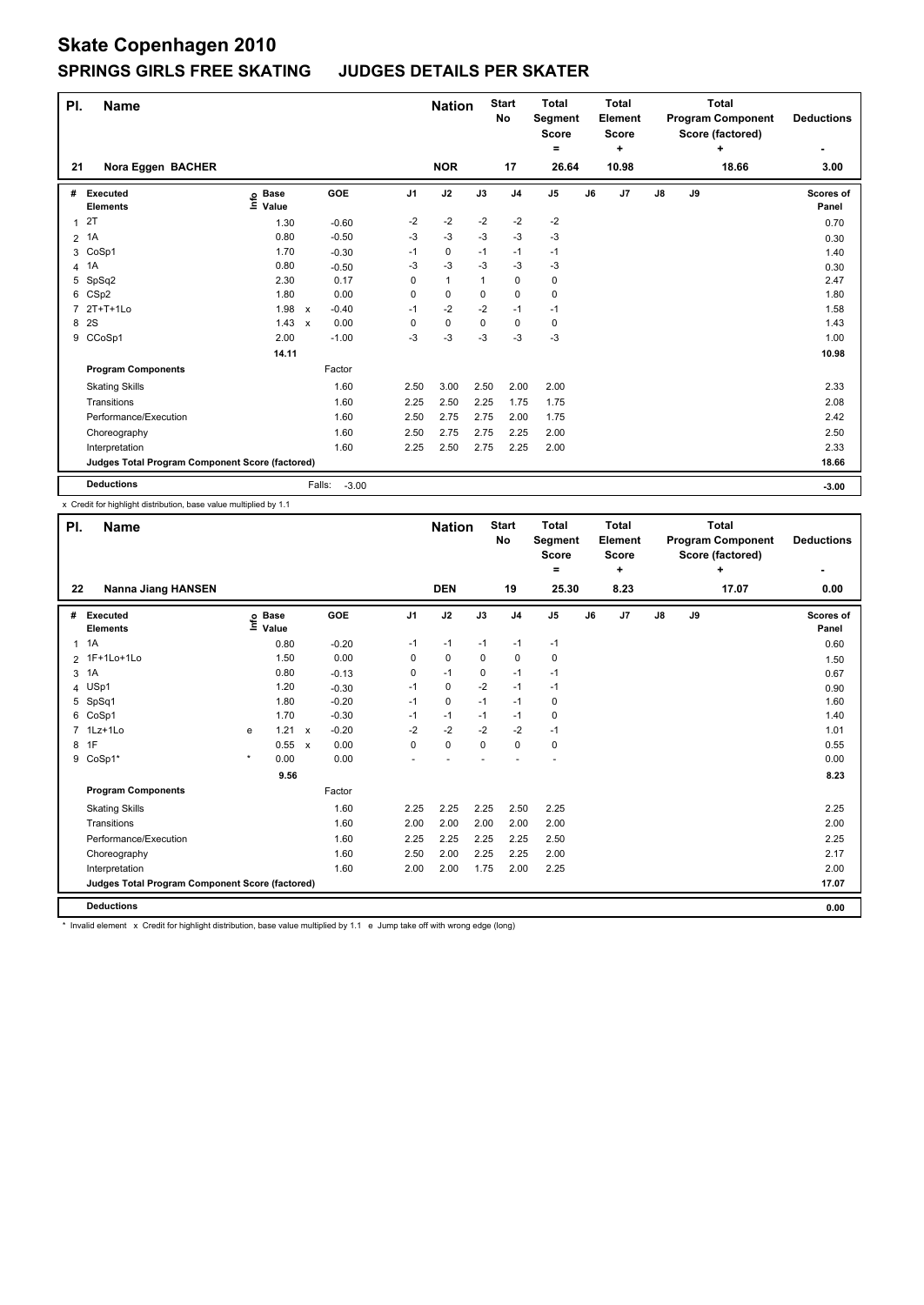| PI.            | <b>Name</b>                                     |                              |                           |                   |                | <b>Nation</b> |      | <b>Start</b><br>No | <b>Total</b><br>Segment<br><b>Score</b> |    | <b>Total</b><br><b>Element</b><br><b>Score</b> |    |    | <b>Total</b><br><b>Program Component</b><br>Score (factored) | <b>Deductions</b>  |
|----------------|-------------------------------------------------|------------------------------|---------------------------|-------------------|----------------|---------------|------|--------------------|-----------------------------------------|----|------------------------------------------------|----|----|--------------------------------------------------------------|--------------------|
|                |                                                 |                              |                           |                   |                |               |      |                    | ٠                                       |    | ٠                                              |    |    | ٠                                                            | ۰                  |
| 21             | Nora Eggen BACHER                               |                              |                           |                   |                | <b>NOR</b>    |      | 17                 | 26.64                                   |    | 10.98                                          |    |    | 18.66                                                        | 3.00               |
| #              | Executed<br><b>Elements</b>                     | <b>Base</b><br>١nfo<br>Value |                           | GOE               | J <sub>1</sub> | J2            | J3   | J <sub>4</sub>     | J <sub>5</sub>                          | J6 | J7                                             | J8 | J9 |                                                              | Scores of<br>Panel |
| 1              | 2T                                              | 1.30                         |                           | $-0.60$           | $-2$           | $-2$          | $-2$ | $-2$               | $-2$                                    |    |                                                |    |    |                                                              | 0.70               |
| $\overline{2}$ | 1A                                              | 0.80                         |                           | $-0.50$           | $-3$           | $-3$          | $-3$ | $-3$               | $-3$                                    |    |                                                |    |    |                                                              | 0.30               |
| 3              | CoSp1                                           | 1.70                         |                           | $-0.30$           | $-1$           | 0             | $-1$ | $-1$               | $-1$                                    |    |                                                |    |    |                                                              | 1.40               |
| 4              | 1A                                              | 0.80                         |                           | $-0.50$           | -3             | $-3$          | $-3$ | $-3$               | $-3$                                    |    |                                                |    |    |                                                              | 0.30               |
| 5              | SpSq2                                           | 2.30                         |                           | 0.17              | 0              | $\mathbf{1}$  |      | $\mathbf 0$        | 0                                       |    |                                                |    |    |                                                              | 2.47               |
| 6              | CSp2                                            | 1.80                         |                           | 0.00              | 0              | $\mathbf 0$   | 0    | $\mathbf 0$        | 0                                       |    |                                                |    |    |                                                              | 1.80               |
| $\overline{7}$ | $2T+T+1L0$                                      | 1.98                         | $\mathsf{x}$              | $-0.40$           | $-1$           | $-2$          | $-2$ | $-1$               | $-1$                                    |    |                                                |    |    |                                                              | 1.58               |
| 8              | 2S                                              | 1.43                         | $\boldsymbol{\mathsf{x}}$ | 0.00              | 0              | 0             | 0    | 0                  | 0                                       |    |                                                |    |    |                                                              | 1.43               |
| 9              | CCoSp1                                          | 2.00                         |                           | $-1.00$           | -3             | -3            | -3   | $-3$               | $-3$                                    |    |                                                |    |    |                                                              | 1.00               |
|                |                                                 | 14.11                        |                           |                   |                |               |      |                    |                                         |    |                                                |    |    |                                                              | 10.98              |
|                | <b>Program Components</b>                       |                              |                           | Factor            |                |               |      |                    |                                         |    |                                                |    |    |                                                              |                    |
|                | <b>Skating Skills</b>                           |                              |                           | 1.60              | 2.50           | 3.00          | 2.50 | 2.00               | 2.00                                    |    |                                                |    |    |                                                              | 2.33               |
|                | Transitions                                     |                              |                           | 1.60              | 2.25           | 2.50          | 2.25 | 1.75               | 1.75                                    |    |                                                |    |    |                                                              | 2.08               |
|                | Performance/Execution                           |                              |                           | 1.60              | 2.50           | 2.75          | 2.75 | 2.00               | 1.75                                    |    |                                                |    |    |                                                              | 2.42               |
|                | Choreography                                    |                              |                           | 1.60              | 2.50           | 2.75          | 2.75 | 2.25               | 2.00                                    |    |                                                |    |    |                                                              | 2.50               |
|                | Interpretation                                  |                              |                           | 1.60              | 2.25           | 2.50          | 2.75 | 2.25               | 2.00                                    |    |                                                |    |    |                                                              | 2.33               |
|                | Judges Total Program Component Score (factored) |                              |                           |                   |                |               |      |                    |                                         |    |                                                |    |    |                                                              | 18.66              |
|                | <b>Deductions</b>                               |                              |                           | Falls:<br>$-3.00$ |                |               |      |                    |                                         |    |                                                |    |    |                                                              | $-3.00$            |

x Credit for highlight distribution, base value multiplied by 1.1

| PI. | <b>Name</b>                                     |         |                   |              |         |                | <b>Nation</b> |             | <b>Start</b><br>No | <b>Total</b><br>Segment<br><b>Score</b><br>۰ |    | <b>Total</b><br>Element<br><b>Score</b><br>÷ |               |    | <b>Total</b><br><b>Program Component</b><br>Score (factored)<br>÷ | <b>Deductions</b><br>۰ |
|-----|-------------------------------------------------|---------|-------------------|--------------|---------|----------------|---------------|-------------|--------------------|----------------------------------------------|----|----------------------------------------------|---------------|----|-------------------------------------------------------------------|------------------------|
| 22  | <b>Nanna Jiang HANSEN</b>                       |         |                   |              |         |                | <b>DEN</b>    |             | 19                 | 25.30                                        |    | 8.23                                         |               |    | 17.07                                                             | 0.00                   |
| #   | Executed<br><b>Elements</b>                     |         | e Base<br>⊑ Value |              | GOE     | J <sub>1</sub> | J2            | J3          | J <sub>4</sub>     | J <sub>5</sub>                               | J6 | J7                                           | $\mathsf{J}8$ | J9 |                                                                   | Scores of<br>Panel     |
|     | $1 \t1A$                                        |         | 0.80              |              | $-0.20$ | $-1$           | $-1$          | $-1$        | $-1$               | $-1$                                         |    |                                              |               |    |                                                                   | 0.60                   |
|     | 2 1F+1Lo+1Lo                                    |         | 1.50              |              | 0.00    | 0              | 0             | 0           | 0                  | 0                                            |    |                                              |               |    |                                                                   | 1.50                   |
| 3   | 1A                                              |         | 0.80              |              | $-0.13$ | 0              | $-1$          | 0           | $-1$               | $-1$                                         |    |                                              |               |    |                                                                   | 0.67                   |
|     | 4 USp1                                          |         | 1.20              |              | $-0.30$ | $-1$           | $\mathbf 0$   | $-2$        | $-1$               | $-1$                                         |    |                                              |               |    |                                                                   | 0.90                   |
| 5   | SpSq1                                           |         | 1.80              |              | $-0.20$ | $-1$           | $\mathbf 0$   | $-1$        | $-1$               | 0                                            |    |                                              |               |    |                                                                   | 1.60                   |
| 6   | CoSp1                                           |         | 1.70              |              | $-0.30$ | $-1$           | $-1$          | $-1$        | $-1$               | 0                                            |    |                                              |               |    |                                                                   | 1.40                   |
|     | 1Lz+1Lo                                         | e       | 1.21              | $\mathsf{x}$ | $-0.20$ | $-2$           | $-2$          | $-2$        | $-2$               | $-1$                                         |    |                                              |               |    |                                                                   | 1.01                   |
|     | 8 1F                                            |         | 0.55 x            |              | 0.00    | $\Omega$       | $\mathbf 0$   | $\mathbf 0$ | 0                  | 0                                            |    |                                              |               |    |                                                                   | 0.55                   |
|     | 9 CoSp1*                                        | $\star$ | 0.00              |              | 0.00    |                |               |             |                    |                                              |    |                                              |               |    |                                                                   | 0.00                   |
|     |                                                 |         | 9.56              |              |         |                |               |             |                    |                                              |    |                                              |               |    |                                                                   | 8.23                   |
|     | <b>Program Components</b>                       |         |                   |              | Factor  |                |               |             |                    |                                              |    |                                              |               |    |                                                                   |                        |
|     | <b>Skating Skills</b>                           |         |                   |              | 1.60    | 2.25           | 2.25          | 2.25        | 2.50               | 2.25                                         |    |                                              |               |    |                                                                   | 2.25                   |
|     | Transitions                                     |         |                   |              | 1.60    | 2.00           | 2.00          | 2.00        | 2.00               | 2.00                                         |    |                                              |               |    |                                                                   | 2.00                   |
|     | Performance/Execution                           |         |                   |              | 1.60    | 2.25           | 2.25          | 2.25        | 2.25               | 2.50                                         |    |                                              |               |    |                                                                   | 2.25                   |
|     | Choreography                                    |         |                   |              | 1.60    | 2.50           | 2.00          | 2.25        | 2.25               | 2.00                                         |    |                                              |               |    |                                                                   | 2.17                   |
|     | Interpretation                                  |         |                   |              | 1.60    | 2.00           | 2.00          | 1.75        | 2.00               | 2.25                                         |    |                                              |               |    |                                                                   | 2.00                   |
|     | Judges Total Program Component Score (factored) |         |                   |              |         |                |               |             |                    |                                              |    |                                              |               |    |                                                                   | 17.07                  |
|     | <b>Deductions</b>                               |         |                   |              |         |                |               |             |                    |                                              |    |                                              |               |    |                                                                   | 0.00                   |

\* Invalid element x Credit for highlight distribution, base value multiplied by 1.1 e Jump take off with wrong edge (long)